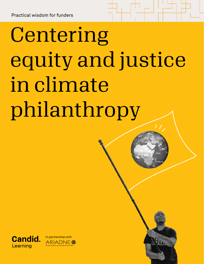# Centering equity and justice in climate philanthropy

Candid Learning Climate justice guide for funders | 1



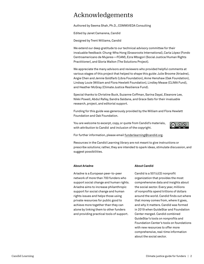# Acknowledgements

Authored by Seema Shah, Ph.D., COMM|VEDA Consulting

Edited by Janet Camarena, Candid

Designed by Trent Williams, Candid

We extend our deep gratitude to our technical advisory committee for their invaluable feedback: Chung-Wha Hong (Grassroots International), Carla López (Fondo Centroamericano de Mujeres—FCAM), Ezra Mbogori (Social Justice/Human Rights Practitioner), and Gloria Walton (The Solutions Project).

We appreciate the many advisors and reviewers who provided helpful comments at various stages of this project that helped to shape this guide: Julie Broome (Ariadne), Angie Chen and Jennie Goldfarb (Libra Foundation), Anne Henshaw (Oak Foundation), Lindsay Louie (William and Flora Hewlett Foundation), Lindley Mease (CLIMA Fund), and Heather McGray (Climate Justice Resilience Fund).

Special thanks to Christine Buck, Suzanne Coffman, Sarina Dayal, Eleanore Lee, Nikki Powell, Abdul Rafey, Sandra Saldana, and Grace Sato for their invaluable research, project, and editorial support.

Funding for this guide was generously provided by the William and Flora Hewlett Foundation and Oak Foundation.

You are welcome to excerpt, copy, or quote from Candid's materials, with attribution to Candid and inclusion of the copyright.



For further information, please email [funderlearning@candid.org.](mailto:funderlearning%40candid.org?subject=)

Resources in the Candid Learning library are not meant to give instructions or prescribe solutions; rather, they are intended to spark ideas, stimulate discussion, and suggest possibilities.

### **About Ariadne**

Ariadne is a European peer-to-peer network of more than 700 funders who support social change and human rights. Ariadne aims to increase philanthropic support for social change and human rights issues and helps those using private resources for public good to achieve more together than they can alone by linking them to other funders and providing practical tools of support.

### **About Candid**

Candid is a 501(c)(3) nonprofit organization that provides the most comprehensive data and insights about the social sector. Every year, millions of nonprofits spend trillions of dollars around the world. Candid finds out where that money comes from, where it goes, and why it matters. Candid was formed in 2019 when GuideStar and Foundation Center merged. Candid combined GuideStar's tools on nonprofits and Foundation Center's tools on foundations with new resources to offer more comprehensive, real-time information about the social sector.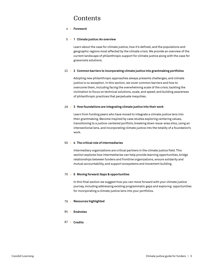# Contents

### **Foreword** 4 •

### **1 Climate justice: An overview** 5 •

Learn about the case for climate justice, how it's defined, and the populations and geographic regions most affected by the climate crisis. We provide an overview of the current landscape of philanthropic support for climate justice along with the case for grassroots solutions.

### 22 • 2 Common barriers to incorporating climate justice into grantmaking portfolios

Adopting new philanthropic approaches always presents challenges, and climate justice is no exception. In this section, we cover common barriers and how to overcome them, including facing the overwhelming scale of the crisis; tackling the inclination to focus on technical solutions, scale, and speed; and building awareness of philanthropic practices that perpetuate inequities.

### **3 How foundations are integrating climate justice into their work** 29 •

Learn from funding peers who have moved to integrate a climate justice lens into their grantmaking. Become inspired by case studies exploring centering values, transitioning to a justice-centered portfolio, breaking down issue-area silos, using an intersectional lens, and incorporating climate justice into the totality of a foundation's work.

### **4 The critical role of intermediaries** 50 •

Intermediary organizations are critical partners in the climate justice field. This section explores how intermediaries can help provide learning opportunities, bridge relationships between funders and frontline organizations, ensure solidarity and mutual accountability, and support ecosystems and movement building.

### **5 Moving forward: Gaps & opportunities** 70 •

In this final section we suggest how you can move forward with your climate justice journey, including addressing existing programmatic gaps and exploring opportunities for incorporating a climate justice lens into your portfolios.

- **Resources highlighted** 79 •
- **Endnotes** 84 •
- **Credits** 87 •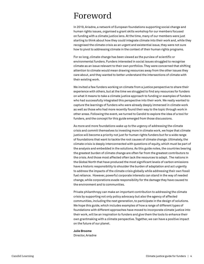# Foreword

In 2019, Ariadne, a network of European foundations supporting social change and human rights issues, organised a grant skills workshop for our members focused on funding with a climate justice lens. At the time, many of our members were just starting to think about how they could integrate climate into their work and, while they recognised the climate crisis as an urgent and existential issue, they were not sure how to pivot to addressing climate in the context of their human rights programs.

For so long, climate change has been viewed as the purview of scientific or environmental funders. Funders interested in social issues struggled to recognise climate as an issue relevant to their own portfolios. They were concerned that shifting attention to climate would mean drawing resources away from the other issues they care about, and they wanted to better understand the intersections of climate with their existing work.

We invited a few funders working on climate from a justice perspective to share their experience with others, but at the time we struggled to find any resources for funders on what it means to take a climate justice approach to funding or examples of funders who had successfully integrated this perspective into their work. We really wanted to capture the learnings of funders who were already deeply immersed in climate work as well as those who had more recently found their way to the topic through work in other areas. Following the event, we turned to Candid to explore the idea of a tool for funders, and the concept for this guide emerged from those discussions.

As more and more foundations wake up to the urgency of addressing the climate crisis and commit themselves to investing more in climate work, we hope that climate justice will become a priority not just for human rights funders but for a wide range of foundations that want to tackle the root causes of climate change. Ultimately, the climate crisis is deeply interconnected with questions of equity, which must be part of the analysis and embedded in the solutions. As this guide notes, the countries bearing the greatest burden of climate change are often far from the greatest contributors to the crisis. And those most affected often lack the resources to adapt. The nations in the Global North that have produced the most significant levels of carbon emissions have a historic responsibility to shoulder the burden of adaptation and act urgently to address the impacts of the climate crisis globally while addressing their own fossil fuel reliance. However, powerful corporate interests can stand in the way of needed change, while corporations evade responsibility for the damage they have caused to the environment and to communities.

Private philanthropy can make an important contribution to addressing the climate crisis by supporting not only policy advocacy but also the agency of affected communities, including the next generation, to participate in the design of solutions. We hope this guide, which includes examples of how a range of different types of foundations with different approaches have moved to incorporate climate justice into their work, will be an inspiration to funders and give them the tools to enhance their own grantmaking with a climate perspective. Together, we can have a positive impact on the future of our planet.

### **Julie Broome**

Director, Ariadne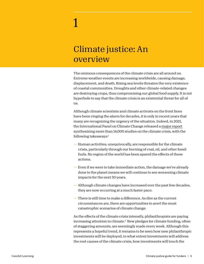# 1

# Climate justice: An overview

The ominous consequences of the climate crisis are all around us. Extreme weather events are increasing worldwide, causing damage, displacement, and death. Rising sea levels threaten the very existence of coastal communities. Droughts and other climate-related changes are destroying crops, thus compromising our global food supply. It is not hyperbole to say that the climate crisis is an existential threat for all of us.

Although climate scientists and climate activists on the front lines have been ringing the alarm for decades, it is only in recent years that many are recognizing the urgency of the situation. Indeed, in 2021, the International Panel on Climate Change released a [major report](https://www.ipcc.ch/report/ar6/wg1/#FullReport)  synthesizing more than 14,000 studies on the climate crisis, with the following takeaways:1

- Human activities, unequivocally, are responsible for the climate crisis, particularly through our burning of coal, oil, and other fossil fuels. No region of the world has been spared the effects of these actions.
- Even if we were to take immediate action, the damage we've already done to the planet means we will continue to see worsening climate impacts for the next 30 years.
- Although climate changes have increased over the past few decades, they are now occurring at a much faster pace.
- There is still time to make a difference. As dire as the current circumstances are, there are opportunities to avert the most catastrophic scenarios of climate change.

As the effects of the climate crisis intensify, philanthropists are paying increasing attention to climate.2 New pledges for climate funding, often of staggering amounts, are seemingly made every week. Although this represents a hopeful trend, it remains to be seen how new philanthropic investments will be deployed, to what extent investments will address the root causes of the climate crisis, how investments will touch the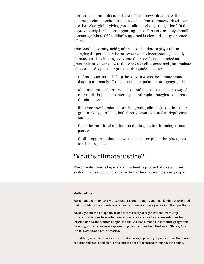hardest-hit communities, and how effective new initiatives will be in generating climate solutions. Indeed, data from ClimateWorks shows less than 2% of global giving goes to climate change mitigation.3 Of the approximately \$1.6 billion supporting such efforts in 2019, only a small percentage (about \$60 million) supported justice and equity-oriented efforts.

This Candid Learning field guide calls on funders to play a role in changing the perilous trajectory we are on by incorporating not only climate, but also climate *justice* into their portfolios. Intended for grantmakers who are new to this work as well as seasoned grantmakers who want to deepen their practice, this guide seeks to:

- Define key terms and lift up the ways in which the climate crisis disproportionately affects particular populations and geographies
- Identify common barriers and contradictions that get in the way of more holistic, justice-centered philanthropic strategies to address the climate crisis
- Illustrate how foundations are integrating climate justice into their grantmaking portfolios, both through examples and in-depth case studies
- Describe the critical role intermediaries play in advancing climate justice
- Outline opportunities to move the needle on philanthropic support for climate justice

# What is climate justice?

The climate crisis is largely manmade—the product of an economic system that is rooted in the extraction of land, resources, and people

### **Methodology**

We conducted interviews with 30 funders, practitioners, and field leaders who shared their insights on how grantmakers can incorporate climate justice into their portfolios.

We sought out the perspectives of a diverse array of organizations, from large, private foundations to smaller family foundations, as well as representatives from intermediaries and frontline organizations. We also aimed to incorporate geographic diversity, with interviewees representing perspectives from the United States, Asia, Africa, Europe, and Latin America.

In addition, we culled through a rich and growing repository of publications that have explored this topic and highlight a curated set of resources throughout the guide.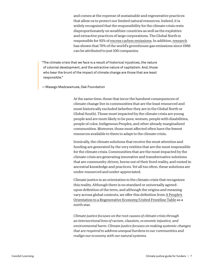and comes at the expense of sustainable and regenerative practices that allow us to protect our limited natural resources. Indeed, it is widely recognized that the responsibility for the climate crisis rests disproportionately on wealthier countries as well as the exploitive and extractive practices of large corporations. The Global North is responsible for 92% of [excess carbon emissions.](https://eos.org/articles/global-north-is-responsible-for-92-of-excess-emissions) In addition, [research](https://www.theguardian.com/sustainable-business/2017/jul/10/100-fossil-fuel-companies-investors-responsible-71-global-emissions-cdp-study-climate-change) has shown that 70% of the world's greenhouse gas emissions since 1988 can be attributed to just 100 companies.

"The climate crisis that we face is a result of historical injustices, the nature of colonial development, and the extractive nature of capitalism. And, those who bear the brunt of the impact of climate change are those that are least responsible."

—Masego Madzwamuse, Oak Foundation

At the same time, those that incur the harshest consequences of climate change live in communities that are the least resourced and most historically excluded (whether they are in the Global North or Global South). Those most impacted by the climate crisis are young people and are more likely to be poor, women, people with disabilities, people of color, Indigenous Peoples, and other already marginalized communities. Moreover, those most affected often have the fewest resources available to them to adapt to the climate crisis.

Ironically, the climate solutions that receive the most attention and funding are generated by the very entities that are the most responsible for the climate crisis. Communities that are the most impacted by the climate crisis are generating innovative and transformative solutions that are community-driven, borne out of their lived reality, and rooted in ancestral knowledge and practices. Yet all too often, these solutions are under-resourced and under-appreciated.

Climate justice is an orientation to the climate crisis that recognizes this reality. Although there is no standard or universally agreedupon definition of the term, and although the origins and meaning vary across global contexts, we offer this definition from [A People's](https://unitedfrontlinetable.org/report/)  [Orientation to a Regenerative Economy/United Frontline Table](https://unitedfrontlinetable.org/report/) as a north star.

*Climate justice focuses on the root causes of climate crisis through an intersectional lens of racism, classism, economic injustice, and environmental harm. Climate justice focuses on making systemic changes that are required to address unequal burdens to our communities and realign our economy with our natural systems.*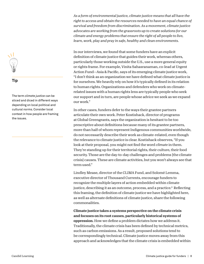### **Tip**

The term *climate justice* can be sliced and diced in different ways depending on local political and cultural norms. Consider local context in how people are framing the issues.

*As a form of environmental justice, climate justice means that all have the right to access and obtain the resources needed to have an equal chance of survival and freedom from discrimination. As a movement, climate justice advocates are working from the grassroots up to create solutions for our climate and energy problems that ensure the right of all people to live, learn, work, play and pray in safe, healthy and clean environments.*

In our interviews, we found that some funders have an explicit definition of climate justice that guides their work, whereas others, particularly those working outside the U.S., use a more general equity or rights frame. For example, Vinita Sahasranaman, co-lead at Urgent Action Fund—Asia & Pacific, says of its emerging climate justice work, "I don't think as an organization we have defined what climate justice is for ourselves. We heavily rely on how it's typically defined in its relation to human rights. Organizations and defenders who work on climaterelated issues with a human rights lens are typically people who seek our support and in turn, are people whose advice we seek as we expand our work."

In other cases, funders defer to the ways their grantee partners articulate their own work. Peter Kostishack, director of programs at Global Greengrants, says the organization is hesitant to be too prescriptive about definitions because many of its grantee partners, more than half of whom represent Indigenous communities worldwide, do not necessarily describe their work as climate-related, even though the relevance to climate justice is clear. Kostishack observes, "If you look at their proposal, you might not find the word *climate* in them. They're standing up for their territorial rights, their culture, their food security. Those are the day-to-day challenges and problems [the climate crisis] causes. These are climate activities, but you won't always see that term used."

Lindley Mease, director of the CLIMA Fund, and Solomé Lemma, executive director of Thousand Currents, encourage funders to recognize the multiple layers of action embedded within climate justice, describing it as an outcome, process, and a practice.<sup>4</sup> Reflecting this framing, the definition of climate justice we have highlighted here, as well as alternate definitions of climate justice, share the following commonalities.

Climate justice takes a systems perspective on the climate crisis and focuses on its root causes, particularly historical systems of oppression. How we define a problem dictates how we address it. Traditionally, the climate crisis has been defined by technical metrics, such as carbon emissions. As a result, proposed solutions tend to be correspondingly technical. Climate justice moves away from this approach and acknowledges that the climate crisis is embedded within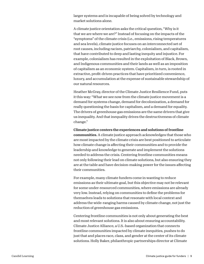larger systems and is incapable of being solved by technology and market solutions alone.

A climate justice orientation asks the critical question, "Why is it that we are where we are?" Instead of focusing on the impacts of the "symptoms" of the climate crisis (i.e., emissions, rising temperatures and sea levels), climate justice focuses on an interconnected set of root causes, including racism, patriarchy, colonialism, and capitalism, that have contributed to deep and lasting inequity and injustice. For example, colonialism has resulted in the exploitation of Black, Brown, and Indigenous communities and their lands as well as an imposition of capitalism as an economic system. Capitalism, in turn, is rooted in extractive, profit-driven practices that have prioritized convenience, luxury, and accumulation at the expense of sustainable stewardship of our natural resources.

Heather McGray, director of the Climate Justice Resilience Fund, puts it this way: "What we see now from the climate justice movement is a demand for systems change, demand for decolonization, a demand for really questioning the basis for capitalism, and a demand for equality. The drivers of greenhouse gas emissions are the same drivers that give us inequality. And that inequality drives the destructiveness of climate change."

Climate justice centers the experiences and solutions of frontline communities. A climate justice approach acknowledges that those who are most impacted by the climate crisis are best positioned to articulate how climate change is affecting their communities and to provide the leadership and knowledge to generate and implement the solutions needed to address the crisis. Centering frontline communities means not only following their lead on climate solutions, but also ensuring they are at the table and have decision-making power for the issues affecting their communities.

For example, many climate funders come in wanting to reduce emissions as their ultimate goal, but this objective may not be relevant for some under-resourced communities, where emissions are already very low. Instead, relying on communities to define the problems for themselves leads to solutions that resonate with local context and address the wide-ranging harms caused by climate change, not just the reduction of greenhouse gas emissions.

Centering frontline communities is not only about generating the best and most relevant solutions. It is also about ensuring accountability. Climate Justice Alliance, a U.S.-based organization that connects frontline communities impacted by climate inequities, pushes to do just that and places race, class, and gender at the center of its climate solutions. Holly Baker, philanthropic partnerships director at Climate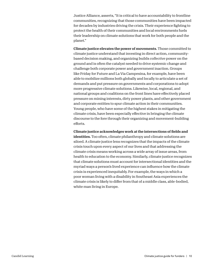Justice Alliance, asserts, "It is critical to have accountability to frontline communities, recognizing that those communities have been impacted for decades by industries driving the crisis. Their experience fighting to protect the health of their communities and local environments fuels their leadership on climate solutions that work for both people and the planet."

Climate justice elevates the power of movements. Those committed to climate justice understand that investing in direct action, communitybased decision making, and organizing builds *collective* power on the ground and is often the catalyst needed to drive systemic change and challenge both corporate power and government inaction. Groups like Friday for Future and La Via Campesina, for example, have been able to mobilize millions both globally and locally to articulate a set of demands and put pressure on governments and corporations to adopt more progressive climate solutions. Likewise, local, regional, and national groups and coalitions on the front lines have effectively placed pressure on mining interests, dirty power plants, and other government and corporate entities to spur climate action in their communities. Young people, who have some of the highest stakes in mitigating the climate crisis, have been especially effective in bringing the climate discourse to the fore through their organizing and movement-building efforts.

Climate justice acknowledges work at the intersections of fields and identities. Too often, climate philanthropy and climate solutions are siloed. A climate justice lens recognizes that the impacts of the climate crisis touch upon every aspect of our lives and that addressing the climate crisis means working across a wide array of issue areas, from health to education to the economy. Similarly, climate justice recognizes that climate solutions must account for intersectional identities and the myriad ways a person's lived experience can influence how the climate crisis is experienced inequitably. For example, the ways in which a poor woman living with a disability in Southeast Asia experiences the climate crisis is likely to differ from that of a middle class, able-bodied, white man living in Europe.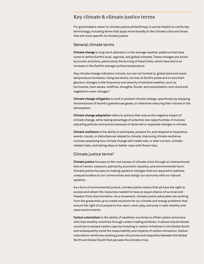### Key climate & climate justice terms

For grantmakers newer to climate justice philanthropy, it can be helpful to clarify key terminology, including terms that apply more broadly to the climate crisis and those that are more specific to climate justice.

### General climate terms

**Climate change** is long-term alteration in the average weather patterns that have come to define Earth's local, regional, and global climates. These changes are driven by human activities, particularly the burning of fossil fuels, which have led to an increase in the Earth's average surface temperature.

Key climate change indicators include, but are not limited to, global land and ocean temperature increases; rising sea levels; ice loss at Earth's poles and in mountain glaciers; changes in the frequency and severity of extreme weather, such as hurricanes, heat waves, wildfires, droughts, floods, and precipitation; and cloud and vegetation cover changes.5

**Climate change mitigation** is work to *prevent* climate change, specifically by stopping the emissions of harmful greenhouse gases, or otherwise reducing their volume in the atmosphere.

**Climate change adaptation** refers to actions that reduce the negative impact of climate change, while taking advantage of potential new opportunities. It involves adjusting policies and actions because of observed or expected changes in climate.

**Climate resilience** is the ability to anticipate, prepare for, and respond to hazardous events, trends, or disturbances related to climate. Improving climate resilience involves assessing how climate change will create new, or alter current, climaterelated risks, and taking steps to better cope with these risks.

### Climate justice terms<sup>6</sup>

**Climate justice** focuses on the root causes of climate crisis through an intersectional lens of racism, classism, patriarchy, economic injustice, and environmental harm. Climate justice focuses on making systemic changes that are required to address unequal burdens to our communities and realign our economy with our natural systems.

As a form of environmental justice, climate justice means that all have the right to access and obtain the resources needed to have an equal chance of survival and freedom from discrimination. As a movement, climate justice advocates are working from the grassroots up to create solutions for our climate and energy problems that ensure the right of all people to live, learn, work, play, and pray in safe, healthy, and clean environments.

**Carbon colonialism** is the ability of wealthier countries to offset carbon emissions onto less wealthy countries through carbon trading schemes. It allows industrialized countries to exceed carbon caps by investing in carbon initiatives in the Global South and subsequently avoid the responsibility and impacts of carbon emissions. Carbon colonialism reinforces existing power structures and inequities between the Global North and Global South that pervade the climate crisis.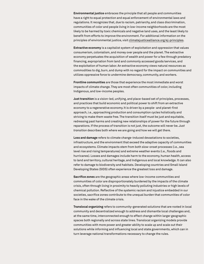**Environmental justice** embraces the principle that all people and communities have a right to equal protection and equal enforcement of environmental laws and regulations. It recognizes that, due to racism, patriarchy, and class discrimination, communities of color and people living in low-income neighborhoods are the most likely to be harmed by toxic chemicals and negative land uses, and the least likely to benefit from efforts to improve the environment. For additional information on the principles of environmental justice, visit [climatejusticealliance.org/ej-principles.](https://climatejusticealliance.org/ej-principles/)

**Extractive economy** is a capitalist system of exploitation and oppression that values consumerism, colonialism, and money over people and the planet. The extractive economy perpetuates the acquisition of wealth and power for a few through predatory financing, expropriation from land and commonly accessed goods/services, and the exploitation of human labor. An extractive economy views natural resources as commodities to dig, burn, and dump with no regard for the impact on communities and utilizes oppressive force to undermine democracy, community, and workers.

**Frontline communities** are those that experience the most immediate and worst impacts of climate change. They are most often communities of color, including Indigenous, and low-income peoples.

**Just transition** is a vision-led, unifying, and place-based set of principles, processes, and practices that build economic and political power to shift from an extractive economy to a regenerative economy. It is driven by a people- and planet-first approach, i.e., approaching production and consumption cycles holistically and striving to make them waste free. The transition itself must be just and equitable, redressing past harms and creating new relationships of power for the future through reparations. If the process of transition is not just, the outcome will never be. *Just transition* describes both where we are going and how we will get there.

**Loss and damage** refers to climate change-induced devastations to societies, infrastructure, and the environment that exceed the adaptive capacity of communities and ecosystems. Climate impacts stem from both slow-onset processes (i.e., sea level rise and rising temperatures) and extreme weather events (i.e., floods and hurricanes). Losses and damages include harm to the economy, human health, access to land and territory, cultural heritage, and Indigenous and local knowledge. It can also refer to damage to biodiversity and habitats. Developing countries and Small Island Developing States (SIDS) often experience the greatest loss and damage.

**Sacrifice zones** are the geographic areas where low-income communities and communities of color are disproportionately burdened by the impacts of the climate crisis, often through living in proximity to heavily polluting industries or high levels of chemical pollution. Reflective of the systemic racism and injustice embedded in our societies, sacrifice zones contribute to the unequal burden that communities of color face in the wake of the climate crisis.

**Translocal organizing** refers to community-generated solutions that are rooted in local community and decentralized enough to address and dismantle local challenges and, at the same time, interconnected enough to effect change within larger geographic spaces both regionally and across state lines. Translocal organizing models provide communities with more power and greater ability to scale up and scale out their solutions while informing and influencing local and state governments, which can in turn leverage national transformations necessary to change the rules.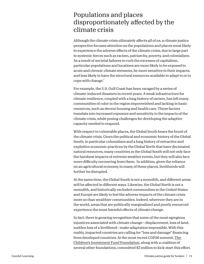# Populations and places disproportionately affected by the climate crisis

Although the climate crisis ultimately affects all of us, a climate justice perspective focuses attention on the populations and places most likely to experience the adverse effects of the climate crisis, due in large part to systemic forces such as racism, patriarchy, poverty, and colonialism. As a result of societal failures to curb the excesses of capitalism, particular populations and locations are more likely to be exposed to acute and chronic climate stressors, be more sensitive to their impacts, and less likely to have the structural resources available to adapt to or to cope with change.7

For example, the U.S. Gulf Coast has been ravaged by a series of climate-induced disasters in recent years. A weak infrastructure for climate resilience, coupled with a long history of racism, has left many communities of color in the region impoverished and lacking in basic resources, such as decent housing and health care. These factors translate into increased exposure and sensitivity to the impacts of the climate crisis, while posing challenges for developing the adaptive capacity needed to respond.

With respect to vulnerable places, the Global South bears the brunt of the climate crisis. Given the political and economic history of the Global South, in particular colonialism and a long history of extractive and exploitive economic practices by the Global North that have decimated natural resources, many countries in the Global South will not only face the harshest impacts of extreme weather events, but they will also face more difficulty recovering from them. In addition, given the reliance on an agricultural economy in many of these places, livelihoods will further be disrupted.

At the same time, the Global South is not a monolith, and different areas will be affected in different ways. Likewise, the Global North is not a monolith, and historically excluded communities in the United States and Europe are likely to feel the adverse impacts of the climate crisis more so than wealthier communities. Indeed, wherever they are in the world, areas that are politically marginalized and poorly resourced experience the most harmful effects of climate change.

In fact, there is growing recognition that some of the most egregious injustices associated with climate change—displacement, loss of land, sudden loss of a livelihood—make adaptation impossible. With this reality, impacted countries are calling for "loss and damage" financing from developed countries. At the most recent COP26 summit, [The](https://ciff.org/news/philanthropies-offer-kick-start-funds-for-prospective-glasgow-loss-damage-facility-to-support-vulnerable-countries-suffering-from-climate-change/)  [Children's Investment Fund Foundation](https://ciff.org/news/philanthropies-offer-kick-start-funds-for-prospective-glasgow-loss-damage-facility-to-support-vulnerable-countries-suffering-from-climate-change/), along with a coalition of several other foundations, committed \$3 million to kick-start this effort.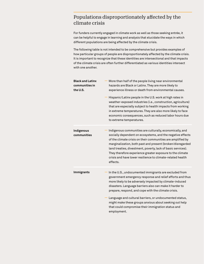# Populations disproportionately affected by the climate crisis

For funders currently engaged in climate work as well as those seeking entrée, it can be helpful to engage in learning and analysis that elucidate the ways in which different populations are being affected by the climate crisis.

The following table is not intended to be comprehensive but provides examples of how particular groups of people are disproportionately affected by the climate crisis. It is important to recognize that these identities are intersectional and that impacts of the climate crisis are often further differentiated as various identities intersect with one another.

| <b>Black and Latinx</b><br>communities in<br>the U.S. | More than half of the people living near environmental<br>hazards are Black or Latinx. They are more likely to<br>experience illness or death from environmental causes.                                                                                                                                                                                                                                                                                   |
|-------------------------------------------------------|------------------------------------------------------------------------------------------------------------------------------------------------------------------------------------------------------------------------------------------------------------------------------------------------------------------------------------------------------------------------------------------------------------------------------------------------------------|
|                                                       | Hispanic/Latinx people in the U.S. work at high rates in<br>weather-exposed industries (i.e., construction, agriculture)<br>that are especially subject to health impacts from working<br>in extreme temperatures. They are also more likely to face<br>economic consequences, such as reduced labor hours due<br>to extreme temperatures.                                                                                                                 |
| Indigenous<br>communities                             | Indigenous communities are culturally, economically, and<br>socially dependent on ecosystems, and the negative effects<br>of the climate crisis on their communities are amplified by<br>marginalization, both past and present (broken/disregarded<br>land treaties, divestment, poverty, lack of basic services).<br>They therefore experience greater exposure to the climate<br>crisis and have lower resilience to climate-related health<br>effects. |
| <b>Immigrants</b>                                     | In the U.S., undocumented immigrants are excluded from<br>government emergency response and relief efforts and thus<br>more likely to be adversely impacted by climate-induced<br>disasters. Language barriers also can make it harder to<br>prepare, respond, and cope with the climate crisis.                                                                                                                                                           |
|                                                       | Language and cultural barriers, or undocumented status,<br>might make these groups anxious about seeking out help<br>that could compromise their immigration status and<br>employment.                                                                                                                                                                                                                                                                     |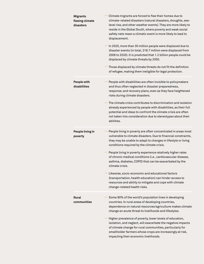| <b>Migrants</b><br>fleeing climate<br>disasters | Climate migrants are forced to flee their homes due to<br>climate-related disasters (natural disasters, droughts, sea-<br>level rise, and other weather events). They are more likely to<br>reside in the Global South, where poverty and weak social<br>safety nets mean a climatic event is more likely to lead to<br>displacement.<br>In 2020, more than 30 million people were displaced due to<br>disaster events (in total, 318.7 million were displaced from<br>2008 to 2020). It is predicted that 1.2 billion people could be<br>displaced by climate threats by 2050.<br>Those displaced by climate threats do not fit the definition<br>of refugee, making them ineligible for legal protection. |
|-------------------------------------------------|-------------------------------------------------------------------------------------------------------------------------------------------------------------------------------------------------------------------------------------------------------------------------------------------------------------------------------------------------------------------------------------------------------------------------------------------------------------------------------------------------------------------------------------------------------------------------------------------------------------------------------------------------------------------------------------------------------------|
| People with<br>disabilities                     | People with disabilities are often invisible to policymakers<br>and thus often neglected in disaster preparedness,<br>response, and recovery plans, even as they face heightened<br>risks during climate disasters.<br>The climate crisis contributes to discrimination and isolation<br>already experienced by people with disabilities, as their full<br>potential and ideas to confront the climate crisis are often<br>not taken into consideration due to stereotypes about their<br>abilities.                                                                                                                                                                                                        |
| People living in<br>poverty                     | People living in poverty are often concentrated in areas most<br>vulnerable to climate disasters. Due to financial constraints,<br>they may be unable to adapt to changes in lifestyle or living<br>conditions required by the climate crisis.<br>People living in poverty experience relatively higher rates<br>of chronic medical conditions (i.e., cardiovascular disease,<br>asthma, diabetes, COPD) that can be exacerbated by the<br>climate crisis.<br>Likewise, socio-economic and educational factors<br>(transportation, health education) can hinder access to<br>resources and ability to mitigate and cope with climate<br>change-related health risks.                                        |
| Rural<br>communities                            | Some 90% of the world's population lives in developing<br>countries. In rural areas of developing countries,<br>dependence on natural resources/agriculture makes climate<br>change an acute threat to livelihoods and lifestyles.<br>Higher prevalence of poverty, lower levels of education,<br>isolation, and neglect, will exacerbate the negative impacts<br>of climate change for rural communities, particularly for<br>smallholder farmers whose crops are increasingly at risk,<br>impacting their economic livelihoods.                                                                                                                                                                           |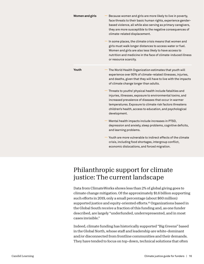| <b>Women and girls</b> | Because women and girls are more likely to live in poverty,<br>face threats to their basic human rights, experience gender-<br>based violence, all while also serving as primary caregivers,<br>they are more susceptible to the negative consequences of<br>climate-related displacement.                                |
|------------------------|---------------------------------------------------------------------------------------------------------------------------------------------------------------------------------------------------------------------------------------------------------------------------------------------------------------------------|
|                        | In some places, the climate crisis means that women and<br>girls must walk longer distances to access water or fuel.<br>Women and girls are also less likely to have access to<br>nutrition and medicine in the face of climate-induced illness<br>or resource scarcity.                                                  |
| Youth                  | The World Health Organization estimates that youth will<br>experience over 80% of climate-related illnesses, injuries,<br>and deaths, given that they will have to live with the impacts<br>of climate change longer than adults.                                                                                         |
|                        | Threats to youths' physical health include fatalities and<br>injuries, illnesses, exposure to environmental toxins, and<br>increased prevalence of diseases that occur in warmer<br>temperatures. Exposure to climate risk factors threatens<br>children's health, access to education, and psychological<br>development. |
|                        | Mental health impacts include increases in PTSD,<br>depression and anxiety, sleep problems, cognitive deficits,<br>and learning problems.                                                                                                                                                                                 |
|                        | Youth are more vulnerable to indirect effects of the climate<br>crisis, including food shortages, intergroup conflict,<br>economic dislocations, and forced migration.                                                                                                                                                    |

# Philanthropic support for climate justice: The current landscape

Data from ClimateWorks shows less than 2% of global giving goes to climate change mitigation. Of the approximately \$1.6 billion supporting such efforts in 2019, only a small percentage (about \$60 million) supported justice and equity-oriented efforts.<sup>10</sup> Organizations based in the Global South receive a fraction of this funding and, as one funder described, are largely "underfunded, underrepresented, and in most cases invisible."

Indeed, climate funding has historically supported "Big Greens" based in the Global North, whose staff and leadership are white-dominant and/or disconnected from frontline communities and their demands. They have tended to focus on top-down, technical solutions that often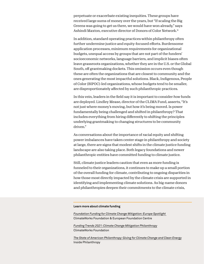perpetuate or exacerbate existing inequities. These groups have received large sums of money over the years, but "If scaling the Big Greens was going to get us there, we would have won already," says Ashindi Maxton, executive director of Donors of Color Network.11

In addition, standard operating practices within philanthropy often further undermine justice and equity-focused efforts. Burdensome application processes, minimum requirements for organizational budgets, unequal access by groups that are not part of the funders' socioeconomic networks, language barriers, and implicit biases often leave grassroots organizations, whether they are in the U.S. or the Global South, off grantmaking dockets. This omission occurs even though these are often the organizations that are closest to community and the ones generating the most impactful solutions. Black, Indigenous, People of Color (BIPOC)-led organizations, whose budgets tend to be smaller, are disproportionately affected by such philanthropic practices.

In this vein, leaders in the field say it is important to consider *how* funds are deployed. Lindley Mease, director of the CLIMA Fund, asserts, "It's not just where money's moving, but how it's being moved. Is power fundamentally being challenged and shifted in philanthropy? That includes everything from hiring differently to shifting the principles underlying grantmaking to changing structures to be community driven."

As conversations about the importance of racial equity and shifting power imbalances have taken center stage in philanthropy and society at large, there are signs that modest shifts in the climate justice funding landscape are also taking place. Both legacy foundations and newer philanthropic entities have committed funding to climate justice.

Still, climate justice leaders caution that even as more funding is funneled to their organizations, it continues to make up a small portion of the overall funding for climate, contributing to ongoing disparities in how those most directly impacted by the climate crisis are supported in identifying and implementing climate solutions. As big-name donors and philanthropies deepen their commitments to the climate crisis,

### **Learn more about climate funding**

*[Foundation Funding for Climate Change Mitigation: Europe Spotlight](https://www.climateworks.org/report/foundation-funding-for-climate-change-mitigation-europe-spotlight/)*  ClimateWorks Foundation & European Foundation Centre

*[Funding Trends 2021: Climate Change Mitigation Philanthropy](https://www.climateworks.org/report/funding-trends-2021-climate-change-mitigation-philanthropy/)* [ClimateWorks Foundation](https://www.climateworks.org/report/funding-trends-2021-climate-change-mitigation-philanthropy/)

*[The State of American Philanthropy: Giving for Climate Change and Clean Energy](https://www.insidephilanthropy.com/home/tag/State+of+American+Philanthropy)* Inside Philanthropy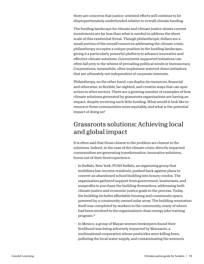there are concerns that justice-oriented efforts will continue to be disproportionately underfunded relative to overall climate funding.

The funding landscape for climate and climate justice shows current investments are far less than what is needed to address the sheer scale of this existential threat. Though philanthropic dollars are a small portion of the overall resources addressing the climate crisis, philanthropy occupies a unique position in the funding landscape, giving it a particularly powerful platform to advance innovative and effective climate solutions. Government-supported initiatives can often fall prey to the whims of prevailing political winds or bureaucracy. Corporations, meanwhile, often implement watered-down initiatives that are ultimately not independent of corporate interests.

Philanthropy, on the other hand, can deploy its resources, financial and otherwise, in flexible, far-sighted, and creative ways that can spur action in other sectors. There are a growing number of examples of how climate solutions generated by grassroots organizations are having an impact, despite receiving such little funding. What would it look like to resource these communities more equitably, and what is the potential impact of doing so?

# Grassroots solutions: Achieving local and global impact

It is often said that those closest to the problem are closest to the solutions. Indeed, in the case of the climate crisis, directly impacted communities are generating transformative, innovative solutions, borne out of their lived experience.

- In Buffalo, New York, PUSH Buffalo, an organizing group that mobilizes low-income residents, pushed back against plans to convert an abandoned school building into luxury condos. The organization gathered support from government, businesses, and nonprofits to purchase the building themselves, addressing both climate justice and economic justice goals in the process. Today, the building includes affordable housing and community space, powered by a community-owned solar array. The building renovation itself was completed by workers in the community, many of whom had been involved in the organization's clean energy jobs training program.12
- In Mexico, a group of Mayan women beekeepers found their livelihood was being adversely impacted by Monsanto, a multinational corporation whose pesticides were killing bees, polluting the local water supply, and contaminating the women's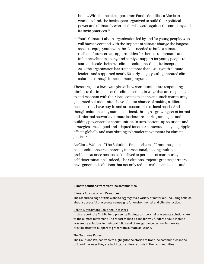honey. With financial support from [Fondo Semillas](https://semillas.org.mx/en/), a Mexican women's fund, the beekeepers organized to build their political power and ultimately won a federal lawsuit against the company and its toxic practices.13

**—** [Youth Climate Lab,](https://www.youthclimatelab.org/) an organization led by and for young people, who will have to contend with the impacts of climate change the longest, seeks to equip youth with the skills needed to build a climateresilient future, create opportunities for them to understand and influence climate policy, and catalyze support for young people to start and scale their own climate solutions. Since its inception in 2017, the organization has trained more than 1,400 youth climate leaders and supported nearly 50 early stage, youth-generated climate solutions through its accelerator program.

These are just a few examples of how communities are responding nimbly to the impacts of the climate crisis, in ways that are responsive to and resonant with their local contexts. In the end, such communitygenerated solutions often have a better chance of making a difference because they have buy-in and are customized to local needs. And though solutions may start out as local, through a growing set of formal and informal networks, climate leaders are sharing strategies and building power across communities. In turn, bottom-up solutions and strategies are adopted and adapted for other contexts, catalyzing ripple effects globally and contributing to broader movements for climate justice.<sup>14</sup>

As Gloria Walton of The Solutions Project shares, "Frontline, placebased solutions are inherently intersectional, solving multiple problems at once because of the lived experience of community self-determination." Indeed, The Solutions Project's grantee partners have generated solutions that not only reduce carbon emissions and

### **Climate solutions from frontline communities**

#### [Climate Advocacy Lab: Resources](https://www.climateadvocacylab.org/resources)

The resources page of this website aggregates a variety of materials, including articles about successful grassroots campaigns for environmental and climate justice.

#### [Soil to Sky: Climate Solutions That Work](https://climasolutions.org/resource/soil-to-sky/)

In this report, the CLIMA Fund presents findings on how vital grassroots solutions are to the climate movement. The report makes a case for why funders should include grassroots solutions in their portfolios and offers guidance on how funders can provide effective support to grassroots climate solutions.

#### [The Solutions Project](https://thesolutionsproject.org/what-we-do/our-impact/)

The Solutions Project website highlights the stories of frontline communities in the U.S. and the ways they are tackling the climate crisis in their communities.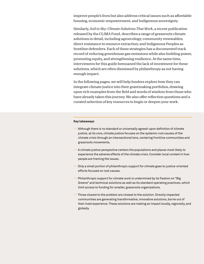improve people's lives but also address critical issues such as affordable housing, economic empowerment, and Indigenous sovereignty.

Similarly, *Soil to Sky: Climate Solutions That Work*, a recent publication released by the CLIMA Fund, describes a range of grassroots climate solutions in detail, including agroecology; community renewables; direct resistance to resource extraction; and Indigenous Peoples as frontline defenders. Each of these strategies has a documented track record of reducing greenhouse gas emissions while also building power, promoting equity, and strengthening resilience. At the same time, interviewees for this guide bemoaned the lack of investment for these solutions, which are often dismissed by philanthropy as not having enough impact.

In the following pages, we will help funders explore how they can integrate climate justice into their grantmaking portfolios, drawing upon rich examples from the field and words of wisdom from those who have already taken this journey. We also offer reflection questions and a curated selection of key resources to begin or deepen your work.

### **Key takeaways**

- Although there is no standard or universally agreed-upon definition of *climate justice*, at its core, climate justice focuses on the systemic root causes of the climate crisis through an intersectional lens, centering frontline communities and grassroots movements.
- A climate justice perspective centers the populations and places most likely to experience the adverse effects of the climate crisis. Consider local context in how people are framing the issues.
- Only a small portion of philanthropic support for climate goes to justice-oriented efforts focused on root causes.
- Philanthropic support for climate work is undermined by its fixation on "Big Greens" and technical solutions as well as its standard operating practices, which limit access to funding for smaller, grassroots organizations.
- Those closest to the problem are closest to the solution. Directly impacted communities are generating transformative, innovative solutions, borne out of their lived experience. These solutions are making an impact locally, regionally, and globally.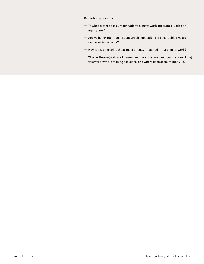### **Reflection questions**

- To what extent does our foundation's climate work integrate a justice or equity lens?
- Are we being intentional about which populations or geographies we are centering in our work?
- How are we engaging those most directly impacted in our climate work?
- What is the origin story of current and potential grantee organizations doing this work? Who is making decisions, and where does accountability lie?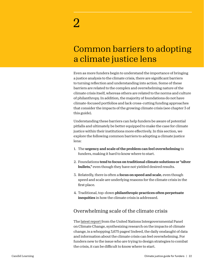# Common barriers to adopting a climate justice lens

Even as more funders begin to understand the importance of bringing a justice analysis to the climate crisis, there are significant barriers to turning reflection and understanding into action. Some of these barriers are related to the complex and overwhelming nature of the climate crisis itself, whereas others are related to the norms and culture of philanthropy. In addition, the majority of foundations do not have climate-focused portfolios and lack cross-cutting funding approaches that consider the impacts of the growing climate crisis (see chapter 3 of this guide).

Understanding these barriers can help funders be aware of potential pitfalls and ultimately be better equipped to make the case for climate justice within their institutions more effectively. In this section, we explore the following common barriers to adopting a climate justice lens:

- 1. The urgency and scale of the problem can feel overwhelming to funders, making it hard to know where to start.
- 2. Foundations tend to focus on traditional climate solutions or "silver bullets," even though they have not yielded desired results.
- 3. Relatedly, there is often a focus on speed and scale, even though speed and scale are underlying reasons for the climate crisis in the first place.
- 4. Traditional, top-down philanthropic practices often perpetuate inequities in how the climate crisis is addressed.

# Overwhelming scale of the climate crisis

The [latest report](https://report.ipcc.ch/ar6wg2/pdf/IPCC_AR6_WGII_FinalDraft_FullReport.pdf) from the United Nations Intergovernmental Panel on Climate Change, synthesizing research on the impacts of climate change, is a whopping 3,675 pages! Indeed, the daily onslaught of data and information about the climate crisis can feel overwhelming. For funders new to the issue who are trying to design strategies to combat the crisis, it can be difficult to know where to start.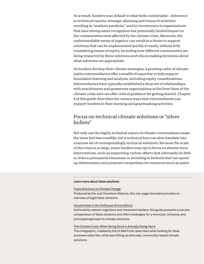As a result, funders may default to what feels comfortable—deference to technical experts, strategic planning and research activities resulting in "analysis paralysis," and/or investments in organizations that have strong name recognition but potentially limited impact in the communities most affected by the climate crisis. Moreover, the understandable sense of urgency can result in a desire to support solutions that can be implemented quickly or easily, without fully considering issues of equity, including how different communities are being impacted by these solutions and who is making decisions about what solutions are appropriate.

As funders develop their climate strategies, a growing cadre of climate justice intermediaries offer a wealth of expertise to help support foundation learning and analysis, including equity considerations. Intermediaries have typically established a deep set of relationships with practitioners and grassroots organizations at the front lines of the climate crisis and can offer critical guidance for getting started. Chapter 4 of this guide describes the various ways that intermediaries can support funders in their learning and grantmaking activities.

### Focus on technical climate solutions or "silver bullets"

Not only can the highly technical nature of climate conversations make the issue feel inaccessible, but a technical lens can also translate into a narrow set of correspondingly technical solutions. Because the scale of the crisis is so large, some funders may opt to focus on shorter-term interventions, such as supporting carbon offsets that ultimately do little to reduce permanent emissions or investing in biofuels that can speed up deforestation and promote competition for resources such as water

### **Learn more about false solutions**

[False Solutions to Climate Change](http://jtalliance.org/wp-content/uploads/2020/02/False-Solutions.pdf)

Produced by the Just Transition Alliance, this one-page document provides an overview of eight false solutions.

### [Hoodwinked in the Hothouse \(third edition\)](https://climatefalsesolutions.org/)

Authored by veteran organizers and movement leaders, this guide presents a concise compendium of false solutions and offers strategies for a more just, inclusive, and principled approach to climate solutions.

### [The Climate Crisis: When Doing Good Is Actually Doing Harm](https://climasolutions.org/wp-content/uploads/2020/03/CLIMA_False-Promises.pdf)

This infographic, created by the CLIMA Fund, describes what funding for false promises looks like, while also lifting up alternate, community-based climate solutions.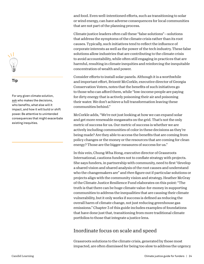and food. Even well-intentioned efforts, such as transitioning to solar or wind energy, can have adverse consequences for local communities that are not part of the planning process.

Climate justice leaders often call these "false solutions"—solutions that address the symptoms of the climate crisis rather than its root causes. Typically, such initiatives tend to reflect the influence of corporate interests as well as the power of the tech industry. These false solutions allow industries that are contributing to the climate crisis to avoid accountability, while often still engaging in practices that are harmful, resulting in climate inequities and reinforcing the inequitable concentration of wealth and power.

Consider efforts to install solar panels. Although it is a worthwhile and important effort, Brionté McCorkle, executive director of Georgia Conservation Voters, notes that the benefits of such initiatives go to those who can afford them, while "low-income people are paying for dirty energy that is actively poisoning their air and poisoning their water. We don't achieve a full transformation leaving these communities behind."

McCorkle adds, "We're not just looking at how we can expand solar and get more renewable megawatts on the grid. That's not the only metric of success for us. Our metric of success is whether we are actively including communities of color in these decisions as they're being made? Are they able to access the benefits that are coming from policy changes or the money or the resources that are coming for clean energy? Those are the bigger measures of success for us."

In this vein, Chung-Wha Hong, executive director of Grassroots International, cautions funders not to conflate strategy with projects. She says funders, in partnership with community, need to first "develop a shared vision and shared analysis of the root causes and understand who the changemakers are" and *then* figure out if particular solutions or projects align with the community vision and strategy. Heather McGray of the Climate Justice Resilience Fund elaborates on this point: "The truth is that there can be huge climate value-for-money in supporting communities to address the inequalities that are causing their climate vulnerability, but it only works if success is defined as reducing the overall harm of climate change, not just reducing greenhouse gas emissions." Chapter 3 of this guide includes examples of foundations that have done just that, transitioning from more traditional climate portfolios to those that integrate a justice lens.

# Inordinate focus on scale and speed

Grassroots solutions to the climate crisis, generated by those most impacted, are often dismissed for being too slow to address the urgency



### **Tip**

For any given climate solution, [ask](https://ittakesroots.org/peoples-solutions-lens/) who makes the decisions, who benefits, what else will it impact, and how it will build or shift power. Be attentive to unintended consequences that might exacerbate existing inequities.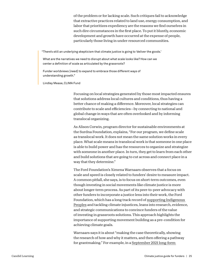of the problem or for lacking scale. Such critiques fail to acknowledge that extractive practices related to land use, energy consumption, and labor that prioritizes expediency are the reasons we find ourselves in such dire circumstances in the first place. To put it bluntly, economic development and growth have occurred at the expense of people, particularly those living in under-resourced communities.

"There's still an underlying skepticism that climate justice is going to 'deliver the goods.'

What are the narratives we need to disrupt about what scale looks like? How can we center a definition of scale as articulated by the grassroots?

Funder worldviews [need] to expand to embrace those different ways of understanding growth."

Lindley Mease, CLIMA Fund

Focusing on local strategies generated by those most impacted ensures that solutions address local cultures and conditions, thus having a better chance of making a difference. Moreover, local strategies can contribute to scale and efficiencies—by connecting to national and global change in ways that are often overlooked and by informing translocal organizing.

As Alison Corwin, program director for sustainable environments at the Surdna Foundation, explains, "For our program, we define scale as translocal work. It does not mean the same solution works in every place. What scale means in translocal work is that someone in one place is able to build power and has the resources to organize and strategize with someone in another place. In turn, they get to learn from each other and build solutions that are going to cut across and connect place in a way that they determine."

The Ford Foundation's Ximena Warnaars observes that a focus on scale and speed is closely related to funders' desire to measure impact. A common pitfall, she says, is to focus on short-term outcomes, even though investing in social movements like climate justice is more about longer-term process. As part of its peer-to-peer advocacy with other funders to incorporate a justice lens into their work, the Ford Foundation, which has a long track record of [supporting Indigenous](https://www.fordfoundation.org/work/challenging-inequality/natural-resources-and-climate-change/)  [Peoples](https://www.fordfoundation.org/work/challenging-inequality/natural-resources-and-climate-change/) and tackling climate injustices, leans into research, evidence, and strategic communications to convince funders of the value of investing in grassroots solutions. This approach highlights the importance of supporting movement building as a pre-condition for achieving climate goals.

Warnaars says it is about "making the case theoretically, showing the research of how and why it matters, and then offering a pathway for grantmaking." For example, in a [September 2021 long-form](https://www.fordfoundation.org/news-and-stories/stories/posts/this-alliance-of-indigenous-peoples-brings-climate-solutions-to-cop26/)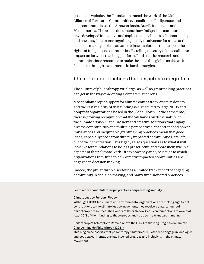[post](https://www.fordfoundation.org/news-and-stories/stories/posts/this-alliance-of-indigenous-peoples-brings-climate-solutions-to-cop26/) on its website, the Foundation traced the work of the Global Alliance of Territorial Communities, a coalition of Indigenous and local communities of the Amazon Basin, Brazil, Indonesia, and Mesoamerica. The article documents how Indigenous communities have developed innovative and sophisticated climate solutions locally and how they have come together globally to advocate for a seat at the decision-making table to advance climate solutions that respect the rights of Indigenous communities. By telling the story of the coalition's impact on its wide-reaching platform, Ford uses its research and communications resources to make the case that global scale can in fact occur through investments in local strategies.

### Philanthropic practices that perpetuate inequities

The culture of philanthropy, writ large, as well as grantmaking practices can get in the way of adopting a climate justice lens.

Most philanthropic support for climate comes from Western donors, and the vast majority of that funding is distributed to large NGOs and nonprofit organizations based in the Global North. At the same time, there is growing recognition that the "all hands on deck" nature of the climate crisis will require new and creative solutions that engage diverse communities and multiple perspectives. Yet entrenched power imbalances and inequitable grantmaking practices mean that good ideas, especially those from directly impacted communities, are left out of the conversation. This legacy raises questions as to what it will look like for foundations to be less prescriptive and more inclusive in all aspects of their climate work—from how they analyze issues to which organizations they fund to how directly impacted communities are engaged in decision making.

Indeed, the philanthropic sector has a limited track record of engaging community in decision making, and many time-honored practices

### **Learn more about philanthropic practices perpetuating inequity**

### [Climate Justice Funders Pledge](https://climate.donorsofcolor.org/about-the-campaign/)

 Although BIPOC-led climate and environmental organizations are making significant contributions to the climate justice movement, they receive a small amount of philanthropic resources. The Donors of Color Network calls on foundations to award at least 30% of their funding to these groups and to do so in a transparent manner.

### [Philanthropy's Attempts to Remain Above the Fray Are Slowing Progress on Climate](https://www.insidephilanthropy.com/home/2021/11/4/philanthropys-attempts-to-remain-above-the-fray-are-slowing-progress-on-climate-change)  [Change—Inside Philanthropy, \(2021\)](https://www.insidephilanthropy.com/home/2021/11/4/philanthropys-attempts-to-remain-above-the-fray-are-slowing-progress-on-climate-change)

This blog piece asserts that philanthropy's historical reluctance to engage in ideological and political confrontations has blocked progress and inclusivity in the climate movement.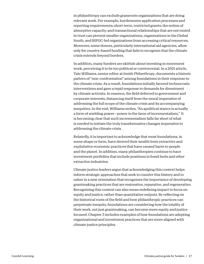in philanthropy can exclude grassroots organizations that are doing relevant work. For example, burdensome application processes and reporting requirements; short-term, restricted grants; the notion of absorptive capacity; and transactional relationships that are not rooted in trust can prevent smaller organizations, organizations in the Global South, and BIPOC-led organizations from accessing critical resources. Moreover, some donors, particularly international aid agencies, allow only for country-based funding that fails to recognize that the climate crisis extends beyond borders.

In addition, many funders are skittish about investing in movement work, perceiving it to be too political or controversial. In a 2021 article, Tate Williams, senior editor at *Inside Philanthropy*, documents a historic pattern of "non-confrontation" among foundations in their response to the climate crisis. As a result, foundations initially favored technocratic interventions and gave a tepid response to demands for divestment by climate activists. In essence, the field deferred to government and corporate interests, distancing itself from the moral imperative of addressing the full scope of the climate crisis and its accompanying inequities. In the end, Williams writes, "An apolitical stance is actually a form of wielding power—power in the favor of incrementalism." It is becoming clear that such incrementalism falls far short of what is needed to initiate the truly transformative changes imperative to addressing the climate crisis.

Relatedly, it is important to acknowledge that most foundations, in some shape or form, have derived their wealth from extractive and exploitative economic practices that have caused harm to people and the planet. In addition, many philanthropies continue to have investment portfolios that include positions in fossil fuels and other extractive industries.

Climate justice leaders argue that acknowledging this context helps inform strategic approaches that seek to counter this history and to usher in a new orientation that recognizes the importance of developing grantmaking practices that are restorative, reparative, and regenerative. Recognizing this context can also mean redefining impact to focus on equity and justice, rather than quantitative outputs. By reflecting on the historical roots of the field and how philanthropic practices can perpetuate inequity, foundations are considering how the totality of their work, not just grantmaking, can become more equity and justice focused. Chapter 3 includes examples of how foundations are adopting organizational and investment practices that are more aligned with climate justice principles.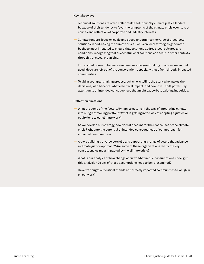### **Key takeaways**

- Technical solutions are often called "false solutions" by climate justice leaders because of their tendency to favor the symptoms of the climate crisis over its root causes and reflection of corporate and industry interests.
- Climate funders' focus on scale and speed undermines the value of grassroots solutions in addressing the climate crisis. Focus on local strategies generated by those most impacted to ensure that solutions address local cultures and conditions, recognizing that successful local solutions can scale in other contexts through translocal organizing.
- Entrenched power imbalances and inequitable grantmaking practices mean that good ideas are left out of the conversation, especially those from directly impacted communities.
- To aid in your grantmaking process, ask who is telling the story, who makes the decisions, who benefits, what else it will impact, and how it will shift power. Pay attention to unintended consequences that might exacerbate existing inequities.

### **Reflection questions**

- What are some of the factors/dynamics getting in the way of integrating climate into our grantmaking portfolio? What is getting in the way of adopting a justice or equity lens to our climate work?
- As we develop our strategy, how does it account for the root causes of the climate crisis? What are the potential unintended consequences of our approach for impacted communities?
- Are we building a diverse portfolio and supporting a range of actors that advance a climate justice approach? Are some of these organizations led by the key constituencies most impacted by the climate crisis?
- What is our analysis of how change occurs? What implicit assumptions undergird this analysis? Do any of these assumptions need to be re-examined?
- Have we sought out critical friends and directly impacted communities to weigh in on our work?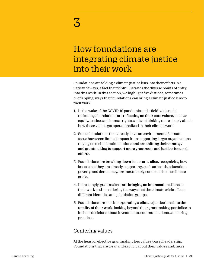# How foundations are integrating climate justice into their work

Foundations are folding a climate justice lens into their efforts in a variety of ways, a fact that richly illustrates the diverse points of entry into this work. In this section, we highlight five distinct, sometimes overlapping, ways that foundations can bring a climate justice lens to their work:

- 1. In the wake of the COVID-19 pandemic and a field-wide racial reckoning, foundations are reflecting on their core values, such as equity, justice, and human rights, and are thinking more deeply about how these values get operationalized in their climate work.
- 2. Some foundations that already have an environmental/climate focus have seen limited impact from supporting larger organizations relying on technocratic solutions and are **shifting their strategy** and grantmaking to support more grassroots and justice-focused efforts.
- 3. Foundations are breaking down issue-area silos, recognizing how issues that they are already supporting, such as health, education, poverty, and democracy, are inextricably connected to the climate crisis.
- 4. Increasingly, grantmakers are bringing an intersectional lens to their work and considering the ways that the climate crisis affects different identities and population groups.
- 5. Foundations are also incorporating a climate justice lens into the totality of their work, looking beyond their grantmaking portfolios to include decisions about investments, communications, and hiring practices.

# Centering values

At the heart of effective grantmaking lies values-based leadership. Foundations that are clear and explicit about their values and, more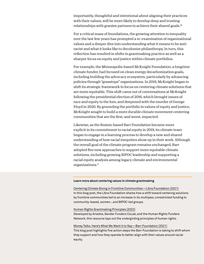importantly, thoughtful and intentional about aligning their practices with their values, will be more likely to develop deep and trusting relationships with grantee partners to achieve their shared goals.16

For a critical mass of foundations, the growing attention to inequality over the last few years has prompted a re-examination of organizational values and a deeper dive into understanding what it means to be antiracist and what it looks like to decolonize philanthropy. In turn, this reflection has resulted in shifts in grantmaking practice as well as a sharper focus on equity and justice within climate portfolios.

For example, the Minneapolis-based McKnight Foundation, a longtime climate funder, had focused on clean energy decarbonization goals, including building the advocacy ecosystem, particularly by advancing policies through "grasstops" organizations. In 2019, McKnight began to shift its strategic framework to focus on centering climate solutions that are more equitable. This shift came out of conversations at McKnight following the presidential election of 2016, which brought issues of race and equity to the fore, and deepened with the murder of George Floyd in 2020. By grounding the portfolio in values of equity and justice, McKnight sought to build a more durable climate movement centering communities that are the first, and worst, impacted.

Likewise, as the Boston-based Barr Foundation became more explicit in its commitment to racial equity in 2019, its climate team began to engage in a learning process to develop a new and shared understanding of how racial inequities show up in their work. Although the overall goal of the climate program remains unchanged, Barr adopted five new approaches to support more equitable climate solutions, including growing BIPOC leadership and supporting a racial equity analysis among legacy climate and environmental organizations.17

### **Learn more about centering values in climate grantmaking**

[Centering Climate Giving in Frontline Communities—Libra Foundation \(2021\)](https://www.thelibrafoundation.org/2021/04/centering-climate-giving-in-frontline-communities/) In this blog post, the Libra Foundation shares how a shift toward centering solutions by frontline communities led to an increase in its multiyear, unrestricted funding to community-based, women-, and BIPOC-led groups.

### [Human Rights Grantmaking Principles \(2022\)](https://sites.google.com/hrfn.org/grantmaking-principles)

Developed by Ariadne, Gender Funders CoLab, and the Human Rights Funders Network, this resource lays out the undergirding principles of human rights.

### [Money Talks. Here's What We Want it to Say—Barr Foundation \(2021\)](https://www.barrfoundation.org/blog/money-talks-here-s-what-we-want-it-to-say) This blog post highlights five action steps the Barr Foundation is taking to shift whom they support and how they operate to better align with their values around racial equity.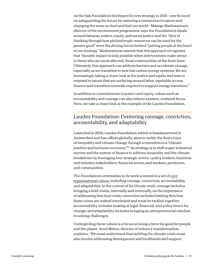As the Oak Foundation developed its new strategy in 2021—one focused on safeguarding the future by restoring a connection to nature and changing the ways we feed and fuel our world—Masego Madzwamuse, director of the environment programme, says the Foundation's ideals around fairness, justice, equity, and social justice and the "idea of thinking through how philanthropic resources can be used for the greater good" were the driving forces behind "putting people at the heart of our strategy." Madzwamuse asserts that this approach recognizes that "durable impact is only possible when interventions make sense to those who are most affected, those communities at the front lines. Ultimately, this approach can address barriers and accelerate change, especially as we transition to new low carbon energy systems. We are increasingly taking a closer look at the justice and equity and how to respond to issues that are surfacing around labor, equitable access, finance and transition minerals required to support energy transition."

In addition to commitments to justice and equity, values such as accountability and courage can also inform a justice-centered focus. Here, we take a closer look at the example of the Laudes Foundation.

## Laudes Foundation: Centering courage, conviction, accountability, and adaptability

Launched in 2020, Laudes Foundation, which is headquartered in Amsterdam and has offices globally, aims to tackle the dual crises of inequality and climate change through a transition to a "climate positive and inclusive economy."18 Its strategy is to shift major industrial sectors and the system of finance to address inequality and the climate breakdown by leveraging four strategic actors—policy makers; business and industry stakeholders; financial actors; and workers, producers, and communities.

The Foundation's orientation to its work is rooted in a set of [core](https://www.laudesfoundation.org/policies/code-of-ethics)  [organizational values](https://www.laudesfoundation.org/policies/code-of-ethics), including courage, conviction, accountability, and adaptability. In the context of its climate work, courage includes bringing a bold vision, internally and externally, on the importance of addressing this dual crisis; conviction includes holding firm that these crises are indeed interlinked and must be tackled together; accountability includes looking at legal, financial, and policy levers for change; and adaptability includes bringing an entrepreneurial mindset to solving challenges.

Undergirding these values is a focus on being a force for good for people and the planet. Amol Mehra, director of industry transformation, explains, "We must understand that tackling the climate crisis must also involve addressing development and livelihoods and support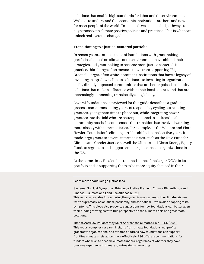solutions that enable high standards for labor and the environment. We have to understand that economic motivations are here and now for most people of the world. To succeed, we need to find pathways to align those with climate positive policies and practices. This is what can unlock real systems change."

### Transitioning to a justice-centered portfolio

In recent years, a critical mass of foundations with grantmaking portfolios focused on climate or the environment have shifted their strategies and grantmaking to become more justice centered. In practice, this change often means a move from supporting "Big Greens"—larger, often white-dominant institutions that have a legacy of investing in top-down climate solutions—to investing in organizations led by directly impacted communities that are better poised to identify solutions that make a difference within their local context, and that are increasingly connecting translocally and globally.

Several foundations interviewed for this guide described a gradual process, sometimes taking years, of responsibly cycling out existing grantees, giving them time to phase out, while integrating newer grantees into the fold who are better positioned to address local community needs. In some cases, this transition has involved working more closely with intermediaries. For example, as the William and Flora Hewlett Foundation's climate portfolio shifted in the last five years, it made large grants to several intermediaries, such as the Hive Fund for Climate and Gender Justice as well the Climate and Clean Energy Equity Fund, to regrant to and support smaller, place-based organizations in the U.S.

At the same time, Hewlett has retained some of the larger NGOs in its portfolio and is supporting them to be more equity-focused in their

### **Learn more about using a justice lens**

### [Systems, Not Just Symptoms: Bringing a Justice Frame to Climate Philanthropy and](https://www.climateandforests2030.org/app/uploads/2021/10/JUSTICE_Bringing-a-Justice-Frame-to-Climate-Philanthropy-and-Finance_MeaseLemma.pdf)  [Finance—Climate and Land Use Alliance \(2021\)](https://www.climateandforests2030.org/app/uploads/2021/10/JUSTICE_Bringing-a-Justice-Frame-to-Climate-Philanthropy-and-Finance_MeaseLemma.pdf)

This report advocates for centering the systemic root causes of the climate crisis white supremacy, colonialism, patriarchy, and capitalism—while also adapting to its symptoms. This piece also presents suggestions for how foundations can better align their funding strategies with this perspective on the climate crisis and grassroots solutions.

[Time to Act: How Philanthropy Must Address the Climate Crisis—FSG \(2021\)](https://www.fsg.org/resource/time-to-act-how-philanthropy-must-address-the-climate-crisis/) This report compiles research insights from private foundations, nonprofits, grassroots organizations, and others to address how foundations can support frontline climate crisis actors more effectively. FSG offers recommendations for funders who wish to become climate funders, regardless of whether they have previous experience in climate grantmaking or investing.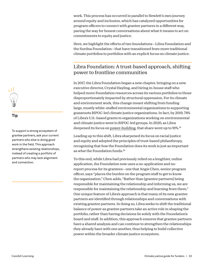work. This process has occurred in parallel to Hewlett's own journey around equity and inclusion, which has catalyzed opportunities for program officers to connect with grantee partners in a different way, paving the way for honest conversations about what it means to act on commitments to equity and justice.

Here, we highlight the efforts of two foundations—Libra Foundation and the Surdna Foundation—that have transitioned from more traditional climate portfolios to portfolios with an explicit focus on climate justice.

## Libra Foundation: A trust-based approach, shifting power to frontline communities

In 2017, the Libra Foundation began a new chapter, bringing on a new executive director, Crystal Hayling, and hiring in-house staff who helped move Foundation resources across its various portfolios to those disproportionately impacted by structural oppression. For its climate and environment work, this change meant shifting from funding large, mostly white-staffed environmental organizations to supporting grassroots BIPOC-led climate justice organizations. In fact, by 2019, 78% of Libra's U.S.-based grants to organizations working on environmental and climate justice went to BIPOC-led groups. In 2020, as Libra deepened its focus on [power-building,](https://www.thelibrafoundation.org/2020/04/the-libra-foundation-doubles-grantmaking-in-2020-including-their-latest-docket-22-million-to-social-justice-organizations/) that share went up to 91%.19

Leading up to this shift, Libra sharpened its focus on racial justice and equity and adopted the principles of trust-based philanthropy, recognizing that *how* the Foundation does its work is just as important as *what* the Foundation funds.20

To this end, while Libra had previously relied on a lengthier, online application, the Foundation now uses a no-application and noreport process for its grantees—one that Angie Chen, senior program officer, says "places the burden on the program staff to get to know the organization." Chen adds, "Rather than [grantee partners] being responsible for maintaining the relationship and informing us, we are responsible for maintaining the relationship and learning from them." One unique feature of Libra's approach is that many of its new grantee partners are identified through relationships and conversations with existing grantee partners. In doing so, Libra seeks to shift the traditional balance of power as grantee partners take an active role in shaping the portfolio, rather than having decisions lie solely with the Foundation's board and staff. In addition, this approach ensures that grantee partners have a shared analysis and can continue to strengthen the relationships they already have with one another, thus helping to build collective power within the broader climate justice ecosystem.



### **Tip**

To support a strong ecosystem of grantee partners, ask your current partners who else is doing good work in the field. This approach strengthens existing relationships, instead of creating a portfolio of partners who may lack alignment and connection.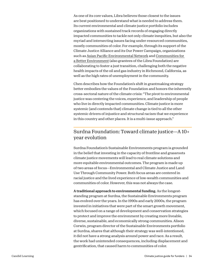As one of its core values, Libra believes those closest to the issues are best positioned to understand what is needed to address them. Its current environmental and climate justice portfolio includes organizations with sustained track records of engaging directly impacted communities to tackle not only climate inequities, but also the myriad and intersecting issues facing under-resourced communities, mostly communities of color. For example, through its support of the Climate Justice Alliance and its Our Power Campaign, organizations such as [Asian Pacific Environmental Network](https://apen4ej.org/) and [Communities for](https://www.cbecal.org/)  [a Better Environment](https://www.cbecal.org/) (also grantees of the Libra Foundation) are collaborating to foster a just transition, challenging both the negative health impacts of the oil and gas industry in Richmond, California, as well as the high rates of unemployment in the community.

Chen describes how the Foundation's shift in grantmaking strategy better embodies the values of the Foundation and honors the inherently cross-sectoral nature of the climate crisis: "The pivot to environmental justice was centering the voices, experience, and leadership of people who live in directly impacted communities. Climate justice is more systemic [and contends that] climate change is tied to all the other systemic drivers of injustice and structural racism that we experience in this country and other places. It is a multi-issue approach."

### Surdna Foundation: Toward climate justice—A 10+ year evolution

Surdna Foundation's Sustainable Environments program is grounded in the belief that investing in the capacity of frontline and grassroots climate justice movements will lead to real climate solutions and more equitable environmental outcomes. The program is made up of two areas of focus—Environmental and Climate Justice and Land Use Through Community Power. Both focus areas are centered in racial justice and the lived experience of low-wealth communities and communities of color. However, this was not always the case.

A traditional approach to environmental funding. As the longeststanding program at Surdna, the Sustainable Environments program has evolved over the years. In the 1990s and early 2000s, the program invested in initiatives that were part of the smart growth movement, which focused on a range of development and conservation strategies to protect and improve the environment by creating more liveable, diverse, sustainable, and economically strong communities. Alison Corwin, program director of the Sustainable Environments portfolio at Surdna, shares that although their strategy was well-intentioned, it did not have a strong analysis around power and race. As a result, the work had unintended consequences, including displacement and gentrification, that caused harm to communities of color.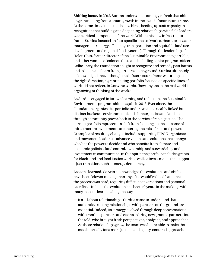Shifting focus. In 2012, Surdna underwent a strategy refresh that shifted its grantmaking from a smart growth frame to an infrastructure frame. At the same time, it also made new hires, beefing up staff capacity in recognition that building and deepening relationships with field leaders was a critical component of the work. Within this new infrastructure frame, Surdna focused on four specific lines of work (urban storm water management; energy efficiency; transportation and equitable land use development; and regional food systems). Through the leadership of Helen Chin, former director of the Sustainable Environments portfolio, and other women of color on the team, including senior program officer Kellie Terry, the Foundation sought to recognize and remedy past harms and to listen and learn from partners on the ground. Surdna ultimately acknowledged that, although the infrastructure frame was a step in the right direction, a grantmaking portfolio focused on specific lines of work did not reflect, in Corwin's words, "how anyone in the real world is organizing or thinking of the work."

As Surdna engaged in its own learning and reflection, the Sustainable Environments program shifted again in 2018. Ever since, the Foundation organizes its portfolio under two inextricably linked but distinct buckets—environmental and climate justice and land use through community power, both in the service of racial justice. The current portfolio represents a shift from focusing on the outcome of infrastructure investments to centering the role of race and power. Examples of resulting changes include supporting BIPOC organizers and movement leaders to advance visions and solutions that change who has the power to decide and who benefits from climate and economic policies, land control, ownership and stewardship, and investment in communities. In this spirit, the portfolio includes grants for Black land and food justice work as well as investments that support a just transition, such as energy democracy.

Lessons learned. Corwin acknowledges the evolutions and shifts have been "slower moving than any of us would've liked," and that the process was hard, requiring difficult conversations and personal sacrifices. Indeed, the evolution has been 10 years in the making, with many lessons learned along the way.

**—** It's all about relationships. Surdna came to understand that authentic, trusting relationships with partners on the ground are essential. Indeed, its strategy evolved through deep conversations with frontline partners and efforts to bring new grantee partners into the fold, who brought fresh perspectives, analyses, and approaches. As these relationships grew, the team was better able to make the case internally for a more justice- and equity-centered approach.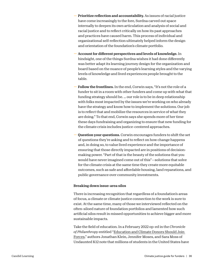- Prioritize reflection and accountability. As issues of racial justice have come increasingly to the fore, Surdna carved out space internally to deepen its own articulation and analysis of social and racial justice and to reflect critically on how its past approaches and practices have caused harm. This process of individual and organizational self-reflection ultimately helped inform the design and orientation of the foundation's climate portfolio.
- Account for different perspectives and levels of knowledge. In hindsight, one of the things Surdna wishes it had done differently was better adapt its learning journey design for the organization and board based on the nuance of people's learning styles and the varying levels of knowledge and lived experiences people brought to the table.
- Follow the frontlines. In the end, Corwin says, "It's not the role of a funder to sit in a room with other funders and come up with what that funding strategy should be. … our role is to be in deep relationship with folks most impacted by the issues we're working on who already have the strategy and know how to implement the solutions. Our job is to reflect that and mobilize the resources in service of what they are doing." To that end, Corwin says she spends more of her time these days fundraising and organizing to ensure that new funding for the climate crisis includes justice-centered approaches.
- Question your questions. Corwin encourages funders to shift the set of questions they're asking and to reflect on how change happens and, in doing so, to value lived experience and the importance of ensuring that those directly impacted are in positions of decisionmaking power. "Part of that is the beauty of the solutions that you would have never imagined come out of this"—solutions that solve for the climate crisis at the same time they create more equitable outcomes, such as safe and affordable housing, land reparations, and public governance over community investments.

### Breaking down issue-area silos

There is increasing recognition that regardless of a foundation's areas of focus, a climate or climate justice connection to the work is sure to exist. At the same time, many of those we interviewed reflected on the often-siloed nature of foundation portfolios and lamented how such artificial silos result in missed opportunities to achieve bigger and more sustainable impacts.

Take the field of education. In a February 2022 op-ed in the *Chronicle of Philanthropy* entitled ["Education and Climate Donors Should Join](https://www.philanthropy.com/article/education-and-climate-donors-should-join-forces-to-develop-green-schools-expand-climate-instruction)  [Forces](https://www.philanthropy.com/article/education-and-climate-donors-should-join-forces-to-develop-green-schools-expand-climate-instruction)," authors Jonathan Klein, Jennifer Moses, and Sara Moss of Undaunted K12 note that millions of students in the United States have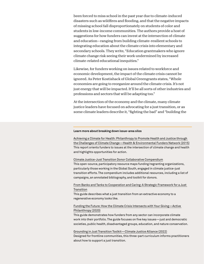been forced to miss school in the past year due to climate-induced disasters such as wildfires and flooding, and that the negative impacts of missing school fall disproportionately on students of color and students in low-income communities. The authors provide a host of suggestions for how funders can invest at the intersection of climate and education—ranging from building climate-resilient schools to integrating education about the climate crisis into elementary and secondary schools. They write, "Education grantmakers who ignore climate change risk seeing their work undermined by increased climate-related educational inequities."

Likewise, for funders working on issues related to workforce and economic development, the impact of the climate crisis cannot be ignored. As Peter Kostishack of Global Greengrants states, "Whole economies are going to reorganize around the climate crisis. It's not just energy that will be impacted. It'll be all sorts of other industries and professions and sectors that will be adapting too."

At the intersection of the economy and the climate, many climate justice leaders have focused on advocating for a just transition, or as some climate leaders describe it, "fighting the bad" and "building the

#### **Learn more about breaking down issue-area silos**

[Achieving a Climate for Health: Philanthropy to Promote Health and Justice through](https://www.hefn.org/sites/default/files/uploaded_files/report_health_and_climate_philanthropy_hefn_ecoamerica_web.pdf)  [the Challenges of Climate Change—Health & Environmental Funders Network \(2015\)](https://www.hefn.org/sites/default/files/uploaded_files/report_health_and_climate_philanthropy_hefn_ecoamerica_web.pdf) This report orients funders to issues at the intersection of climate change and health and highlights opportunities for action.

#### [Climate Justice-Just Transition Donor Collaborative Compendium](https://docs.google.com/spreadsheets/d/1cPm0GJUs4Vp0lw7AUVbjMOZi2ICQpvbXw3msXa4_uqg/edit#gid=161766188)

This open-source, participatory resource maps funding/regranting organizations, particularly those working in the Global South, engaged in climate justice-just transition efforts. The compendium includes additional resources, including a list of campaigns, an annotated bibliography, and toolkit for donors.

#### [From Banks and Tanks to Cooperation and Caring: A Strategic Framework for a Just](https://movementgeneration.org/wp-content/uploads/2016/11/JT_booklet_English_SPREADs_web.pdf)  [Transition](https://movementgeneration.org/wp-content/uploads/2016/11/JT_booklet_English_SPREADs_web.pdf)

This guide describes what a just transition from an extractive economy to a regenerative economy looks like.

#### [Funding the Future: How the Climate Crisis Intersects with Your Giving—Active](https://www.activephilanthropy.org/climate-philanthropy-guide)  [Philanthropy \(2020\)](https://www.activephilanthropy.org/climate-philanthropy-guide)

This guide demonstrates how funders from any sector can incorporate climate work into their portfolio. The guide focuses on five key issues—just and democratic societies, public health, disadvantaged groups, education, and nature conservation.

[Grounding in Just Transition Toolkit—Climate Justice Alliance \(2022\)](https://climatejusticealliance.org/just-transition-toolkit/) Designed for frontline communities, this three-part curriculum informs practitioners about how to support a just transition.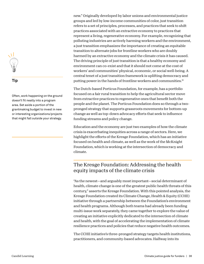

### **Tip**

Often, work happening on the ground doesn't fit neatly into a program area. Set aside a portion of the grantmaking budget to invest in new or interesting organizations/projects that might fall outside your strategy.

new." Originally developed by labor unions and environmental justice groups and led by low-income communities of color, just transition refers to a set of principles, processes, and practices that seek to shift practices associated with an extractive economy to practices that represent a living, regenerative economy. For example, recognizing that polluting industries are actively harming workers and the environment, a just transition emphasizes the importance of creating an equitable transition to alternate jobs for frontline workers who are doubly harmed by an extractive economy and the climate crisis it has caused. The driving principle of just transition is that a healthy economy and environment can co-exist and that it should not come at the cost of workers' and communities' physical, economic, or social well-being. A central tenet of a just transition framework is uplifting democracy and putting power in the hands of frontline workers and communities.<sup>21</sup>

The Dutch-based Porticus Foundation, for example, has a portfolio focused on a fair rural transition to help the agricultural sector move from extractive practices to regenerative ones that benefit both the people and the planet. The Porticus Foundation does so through a twopronged strategy that supports grassroots movements for bottom-up change as well as top-down advocacy efforts that seek to influence funding streams and policy change.

Education and the economy are just two examples of how the climate crisis is exacerbating inequities across a range of sectors. Here, we highlight the efforts of the Kresge Foundation, which has an initiative focused on health and climate, as well as the work of the McKnight Foundation, which is working at the intersection of democracy and climate.

## The Kresge Foundation: Addressing the health equity impacts of the climate crisis

"As the newest—and arguably most important—social determinant of health, climate change is one of the greatest public health threats of this century," asserts the Kresge Foundation. With this pointed analysis, the Kresge Foundation created its Climate Change, Health & Equity (CCHE) initiative through a partnership between the Foundation's environment and health programs. Although both teams had already been funding multi-issue work separately, they came together to explore the value of creating an initiative explicitly dedicated to the intersection of climate and health, with the goal of accelerating the implementation of climate resilience practices and policies that reduce negative health outcomes.

The CCHE initiative's three-pronged strategy targets health institutions, practitioners, and community-based advocates. Halfway into its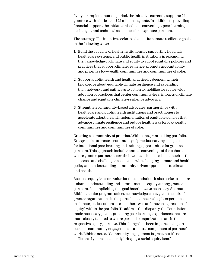five-year implementation period, the initiative currently supports 24 grantees with a little over \$22 million in grants. In addition to providing financial support, the initiative also hosts convenings, peer-learning exchanges, and technical assistance for its grantee partners.

The strategy. The initiative seeks to advance its climate resilience goals in the following ways:

- 1. Build the capacity of health institutions by supporting hospitals, health care systems, and public health institutions in expanding their knowledge of climate and equity to adopt equitable policies and practices that support climate resilience, promote accountability, and prioritize low-wealth communities and communities of color.
- 2. Support public health and health practice by deepening their knowledge about equitable climate resilience and expanding their networks and pathways to action to mobilize for sector-wide adoption of practices that center community-level impacts of climate change and equitable climate-resilience advocacy.
- 3. Strengthen community-based advocates' partnerships with health care and public health institutions and practitioners to accelerate adoption and implementation of equitable policies that advance climate resilience and reduce health risks for low-wealth communities and communities of color.

Creating a community of practice. Within the grantmaking portfolio, Kresge seeks to create a community of practice, carving out space for intentional peer learning and training opportunities for grantee partners. This approach includes [annual convenings](https://kresge.org/resource/climate-change-health-equity-peer-learning-resources/) of the cohort, where grantee partners share their work and discuss issues such as the successes and challenges associated with changing climate and health policy and understanding community-driven approaches to climate and health.

Because equity is a core value for the foundation, it also seeks to ensure a shared understanding and commitment to equity among grantee partners. Accomplishing this goal hasn't always been easy. Shamar Bibbins, senior program officer, acknowledges that, given the mix of grantee organizations in the portfolio—some are deeply experienced in climate justice, others less so—there was an "uneven expression of equity" within the portfolio. To address this disparity, the Foundation made necessary pivots, providing peer learning experiences that are more closely tailored to where particular organizations are in their respective equity journeys. This change has been important, in part because community engagement is a central component of partners' work. Bibbins notes, "Community engagement is great, but it's not sufficient if you're not actually bringing a racial equity lens."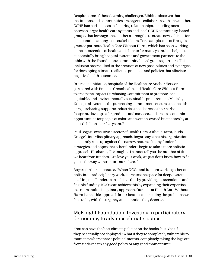Despite some of these learning challenges, Bibbins observes that institutions and communities are eager to collaborate with one another. CCHE has had success in fostering relationships, including ones between larger health care systems and local CCHE community-based groups, that leverage one another's strengths to create new vehicles for collaboration among local stakeholders. For example, one of Kresge's grantee partners, Health Care Without Harm, which has been working at the intersection of health and climate for many years, has helped to successfully bring hospital systems and government partners to the table with the Foundation's community-based grantee partners. This inclusion has resulted in the creation of new possibilities and synergies for developing climate resilience practices and policies that alleviate negative health outcomes.

In a recent initiative, hospitals of the Healthcare Anchor Network partnered with Practice Greenhealth and Health Care Without Harm to create the Impact Purchasing Commitment to promote local, equitable, and environmentally sustainable procurement. Made by 12 hospital systems, the purchasing commitment ensures that health care purchasing supports industries that decrease their carbon footprint, develop safer products and services, and create economic opportunities for people of color- and women-owned businesses by at least \$1 billion over five years.<sup>22</sup>

Paul Bogart, executive director of Health Care Without Harm, lauds Kresge's interdisciplinary approach. Bogart says that his organization constantly runs up against the narrow nature of many funders' strategies and hopes that other funders begin to take a more holistic approach. He shares, "It's tough. … I cannot tell you the number of times we hear from funders, 'We love your work, we just don't know how to fit you to the way we structure ourselves.'"

Bogart further elaborates, "When NGOs and funders work together on holistic, interdisciplinary work, it creates the space for deep, systemslevel impact. Funders can achieve this by providing intersectional and flexible funding. NGOs can achieve this by expanding their expertise to a more multidisciplinary approach. Our take at Health Care Without Harm is that this approach is our best shot at tackling the problems we face today with the urgency and intention they deserve."

### McKnight Foundation: Investing in participatory democracy to advance climate justice

"You can have the best climate policies on the books, but what if they're actually not deployed? What if they're completely vulnerable to moments where there's political storms, completely taking the legs out from underneath any good policy or any good momentum?"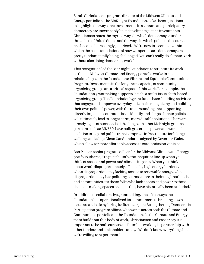Sarah Christiansen, program director of the Midwest Climate and Energy portfolio at the McKnight Foundation, asks these questions to highlight the ways that investments in a vibrant and participatory democracy are inextricably linked to climate justice investments. Christiansen notes the myriad ways in which democracy is under threat in the United States and the ways in which political discourse has become increasingly polarized. "We're now in a context within which the basic foundations of how we operate as a democracy are pretty fundamentally being challenged. You can't really do climate work without also doing democracy work."

This recognition led the McKnight Foundation to structure its work so that its Midwest Climate and Energy portfolio works in close relationship with the foundation's Vibrant and Equitable Communities Program. Investments in the long-term capacity of community organizing groups are a critical aspect of this work. For example, the Foundation's grantmaking supports Isaiah, a multi-issue, faith-based organizing group. The Foundation's grant funds base-building activities that engage and empower everyday citizens in recognizing and building their own political power, with the understanding that supporting directly impacted communities to identify and shape climate policies will ultimately lead to longer-term, more durable solutions. There are already signs of success. Isaiah, along with other McKnight grantee partners such as MN350, have built grassroots power and worked in coalition to expand public transit, improve infrastructure for biking/ walking, and adopt Clean Car Standards (signed by Governor Walz), which allow for more affordable access to zero-emission vehicles.

Ben Passer, senior program officer for the Midwest Climate and Energy portfolio, shares, "To put it bluntly, the inequities line up when you think of access and power and climate impacts. When you think about who's disproportionately affected by high energy burdens, who's disproportionately lacking access to renewable energy, who disproportionately has polluting sources more in their neighborhoods and communities, it's those folks who lack access and power to these decision-making spaces because they have historically been excluded."

In addition to collaborative grantmaking, one of the ways the Foundation has operationalized its commitment to breaking down issue area silos is by hiring its first-ever joint Strengthening Democratic Participation program officer, who works across both the Climate and Communities portfolios at the Foundation. As the Climate and Energy team builds out this body of work, Christiansen and Passer say it is important to be both curious and humble, working in partnership with other funders and stakeholders to say, "We don't know everything, but we're willing to experiment."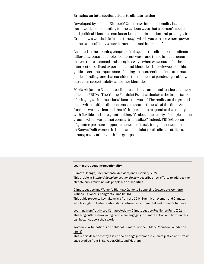#### Bringing an intersectional lens to climate justice

Developed by scholar Kimberlé Crenshaw, intersectionality is a framework for accounting for the various ways that a person's social and political identities can foster both discrimination and privilege. In Crenshaw's words, it is "a lens through which you can see where power comes and collides, where it interlocks and intersects."

As noted in the opening chapter of this guide, the climate crisis affects different groups of people in different ways, and these impacts occur in even more nuanced and complex ways when we account for the intersection of lived experiences and identities. Interviewees for this guide assert the importance of taking an intersectional lens to climate justice funding, one that considers the nuances of gender, age, ability, sexuality, race/ethnicity, and other identities.

Maria Alejandra Escalante, climate and environmental justice advocacy officer at FRIDA | The Young Feminist Fund, articulates the importance of bringing an intersectional lens to its work: "The reality on the ground deals with multiple dimensions at the same time, all of the time. As funders, we have learned that it's important to respond to that reality with flexible and core grantmaking. It's about the reality of people on the ground which we cannot compartmentalize." Indeed, FRIDA's cohort of grantee partners supports the work of rural, Indigenous women in Kenya; Dalit women in India; and feminist youth climate strikers, among many other youth-led groups.

#### **Learn more about intersectionality**

[Climate Change, Environmental Activism, and Disability \(2022\)](https://ssir.org/articles/entry/climate_change_environmental_activism_and_disability) This article in *Stanford Social Innovation Review* describes how efforts to address the climate crisis must include people with disabilities.

#### [Climate Justice and Women's Rights: A Guide to Supporting Grassroots Women's](https://www.greengrants.org/wp-content/uploads/2017/09/Climate-Justice-and-Womens-Rights-Guide1.pdf)  [Actions—Global Greengrants Fund \(2015\)](https://www.greengrants.org/wp-content/uploads/2017/09/Climate-Justice-and-Womens-Rights-Guide1.pdf)

This guide presents key takeaways from the 2014 Summit on Women and Climate, which sought to foster relationships between environmental and women's funders.

[Learning from Youth-Led Climate Action—Climate Justice Resilience Fund \(2021\)](https://www.cjrfund.org/news/2021/7/13/learning-youth-led-climate-action) This blog outlines how young people are engaging in climate action and how funders can better support their work.

#### [Women's Participation: An Enabler of Climate Justice—Mary Robinson Foundation](https://www.mrfcj.org/resources/womens-participation-an-enabler-of-climate-justice/)  [\(2015\)](https://www.mrfcj.org/resources/womens-participation-an-enabler-of-climate-justice/)

This report describes why it is critical to engage women in climate justice and lifts up case studies from El Salvador, Chile, and Vietnam.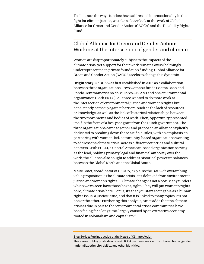To illustrate the ways funders have addressed intersectionality in the fight for climate justice, we take a closer look at the work of Global Alliance for Green and Gender Action (GAGGA) and the Disability Rights Fund.

### Global Alliance for Green and Gender Action: Working at the intersection of gender and climate

Women are disproportionately subject to the impacts of the climate crisis, yet support for their work remains overwhelmingly underrepresented in private foundation funding. Global Alliance for Green and Gender Action (GAGGA) seeks to change this dynamic.

Origin story. GAGGA was first established in 2016 as a collaboration between three organizations—two women's funds (Mama Cash and Fondo Centroamericano de Mujeres—FCAM) and one environmental organization (Both ENDS). All three wanted to do more work at the intersection of environmental justice and women's rights but consistently came up against barriers, such as the lack of resources or knowledge, as well as the lack of historical relationships between the two movements and bodies of work. Then, opportunity presented itself in the form of a five-year grant from the Dutch government. The three organizations came together and proposed an alliance explicitly dedicated to breaking down these artificial silos, with an emphasis on partnering with women-led, community-based organizations working to address the climate crisis, across different countries and cultural contexts. With FCAM, a Central American-based organization serving as the lead, holding primary legal and financial authority over the work, the alliance also sought to address historical power imbalances between the Global North and the Global South.

Maite Smet, coordinator of GAGGA, explains the GAGGA's overarching value proposition: "The climate crisis isn't delinked from environmental justice and women's rights. … Climate change is not a box. Many funders which we've seen have those boxes, right? They will put women's rights here, climate crisis here. For us, it's that you start seeing this as a human rights issue, a justice issue, and that it is linked to many topics. It's not one or the other." Furthering this analysis, Smet adds that the climate crisis is due in part to the "environmental crises communities have been facing for a long time, largely caused by an extractive economy rooted in colonialism and capitalism."

[Blog Series: Putting Justice at the Heart of Climate Action](https://gaggaalliance.org/blog-series-putting-justice-at-the-heart-of-climate-action/) This series of blog posts describes GAGGA partners' work at the intersection of gender, nationality, ethnicity, ability, and other identities.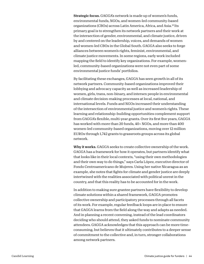Strategic focus. GAGGA's network is made up of women's funds, environmental funds, NGOs, and women-led community-based organizations (CBOs) across Latin America, Africa, and Asia.23 Its primary goal is to strengthen its network partners and their work at the intersection of gender, environmental, and climate justice, driven by and centered on the leadership, voices, and demands of women and women-led CBOs in the Global South. GAGGA also seeks to forge alliances between women's rights, feminist, environmental, and climate justice movements. In some regions, early work included mapping the field to identify key organizations. For example, womenled, community-based organizations were not even part of some environmental justice funds' portfolios.

By facilitating these exchanges, GAGGA has seen growth in all of its network partners. Community-based organizations improved their lobbying and advocacy capacity as well as increased leadership of women, girls, trans, non-binary, and intersex people in environmental and climate decision-making processes at local, national, and international levels. Funds and NGOs increased their understanding of the intersection of environmental justice and women's rights. These learning and relationship-building opportunities complement support from GAGGA's flexible, multi-year grants. Over its first five years, GAGGA has worked with more than 20 funds, 40+ NGOs, and more than 400 women-led community-based organizations, moving over 12 million EUROs through 1,742 grants to grassroots groups across its global network.

Why it works. GAGGA seeks to create collective ownership of the work. GAGGA has a framework for how it operates, but partners identify what that looks like in their local contexts, "using their own methodologies and their own way to do things," says Carla López, executive director of Fondo Centroamericano de Mujeres. Using her native Nicaragua as an example, she notes that fights for climate and gender justice are deeply intertwined with the realities associated with political unrest in the country, and that this reality has to be accounted for in the work.

In addition to making sure grantee partners have flexibility to develop climate solutions within a shared framework, GAGGA promotes collective ownership and participatory processes through all facets of its work. For example, regular feedback loops are in place to ensure that GAGGA learns from the field along the way and adapts as needed. And in planning a recent convening, instead of the lead coordinators deciding who should attend, they asked funds to nominate community attendees. GAGGA acknowledges that this approach can be more timeconsuming, but believes that it ultimately contributes to a deeper sense of commitment to the collective and, in turn, stronger collaborations among network partners.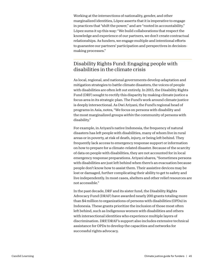Working at the intersections of nationality, gender, and other marginalized identities, López asserts that it is imperative to engage in practices that "shift the power," and are "rooted in accountability." López sums it up this way: "We build collaborations that respect the knowledge and experience of our partners, we don't create contractual relationships. As funders, we engage multiple and intentional efforts to guarantee our partners' participation and perspectives in decisionmaking processes."

### Disability Rights Fund: Engaging people with disabilities in the climate crisis

As local, regional, and national governments develop adaptation and mitigation strategies to battle climate disasters, the voices of people with disabilities are often left out entirely. In 2013, the Disability Rights Fund (DRF) sought to rectify this disparity by making climate justice a focus area in its strategic plan. The Fund's work around climate justice is deeply intersectional. As Dwi Ariyani, the Fund's regional head of programs in Asia, notes, "We focus on persons with disability and the most marginalized groups *within* the community of persons with disability."

For example, in Ariyani's native Indonesia, the frequency of natural disasters has left people with disabilities, many of whom live in rural areas or in poverty, at risk of death, injury, or being left behind. They frequently lack access to emergency response support or information on how to prepare for a climate-related disaster. Because of the scarcity of data on people with disabilities, they are not accounted for in local emergency response preparations. Ariyani shares, "Sometimes persons with disabilities are just left behind when there's an evacuation because people don't know how to assist them. Their assistive devices may be lost or damaged, further complicating their ability to get to safety and live independently. In most cases, shelters and other relief resources are not accessible."

In the past decade, DRF and its sister fund, the Disability Rights Advocacy Fund (DRAF) have awarded nearly 200 grants totaling more than \$4 million to organizations of persons with disabilities (OPDs) in Indonesia. These grants prioritize the inclusion of those most often left behind, such as Indigenous women with disabilities and others with intersectional identities who experience multiple layers of discrimination. DRF/DRAF's support also includes extensive technical assistance for OPDs to develop the capacities and networks for successful rights advocacy.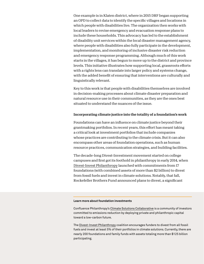One example is in Klaten district, where in 2015 DRF began supporting an OPD to collect data to identify the specific villages and locations in which people with disabilities live. The organization then works with local leaders to revise emergency and evacuation response plans to include these households. This advocacy has led to the establishment of disability unit services within the local disaster management agency, where people with disabilities also fully participate in the development, implementation, and monitoring of inclusive disaster risk reduction and emergency response programming. Although much of this work starts in the villages, it has begun to move up to the district and province levels. This initiative illustrates how supporting local, grassroots efforts with a rights lens can translate into larger policy and systems change, with the added benefit of ensuring that interventions are culturally and linguistically relevant.

Key to this work is that people with disabilities themselves are involved in decision-making processes about climate disaster preparation and natural resource use in their communities, as they are the ones best situated to understand the nuances of the issue.

#### Incorporating climate justice into the totality of a foundation's work

Foundations can have an influence on climate justice beyond their grantmaking portfolios. In recent years, this effort has meant taking a critical look at investment portfolios that include companies whose practices are contributing to the climate crisis. But it can also encompass other areas of foundation operations, such as human resource practices, communication strategies, and building facilities.

The decade-long Divest-Investment movement started on college campuses and first got its foothold in philanthropy in early 2014, when [Divest-Invest Philanthropy](https://www.divestinvest.org/) launched with commitments from 17 foundations (with combined assets of more than \$2 billion) to divest from fossil fuels and invest in climate solutions. Notably, that fall, Rockefeller Brothers Fund announced plans to divest, a significant

#### **Learn more about foundation investments**

Confluence Philanthropy's [Climate Solutions Collaborative](https://www.confluencephilanthropy.org/The-Climate-Solutions-Collaborative) is a community of investors committed to emissions reduction by deploying private and philanthropic capital toward a low-carbon future.

The [Divest-Invest Philanthropy](https://www.divestinvest.org/) coalition encourages funders to divest from all fossil fuels and invest at least 5% of their portfolios in climate solutions. Currently, there are nearly 200 foundations and family funds with assets totaling more than \$125 billion participating.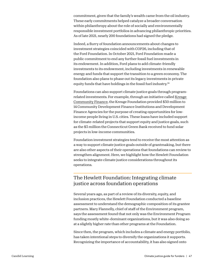commitment, given that the family's wealth came from the oil industry. These early commitments helped catalyze a broader conversation within philanthropy about the role of socially and environmentally responsible investment portfolios in advancing philanthropic priorities. As of late 2021, nearly 200 foundations had signed the pledge.

Indeed, a flurry of foundation announcements about changes to investment strategies coincided with COP26, including that of the Ford Foundation. In October 2021, Ford Foundation made a public commitment to end any further fossil fuel investments in its endowment. In addition, Ford plans to add climate-friendly investments to its endowment, including investments in renewable energy and funds that support the transition to a green economy. The foundation also plans to phase out its legacy investments in private equity funds that have holdings in the fossil fuel industry.<sup>24</sup>

Foundations can also support climate justice goals through programrelated investments. For example, through an initiative called [Kresge](https://kresge.org/initiative/kresge-community-finance-kcf/)  [Community Finance](https://kresge.org/initiative/kresge-community-finance-kcf/), the Kresge Foundation provided \$30 million to 14 Community Development Finance Institutions and Development Finance Agencies for the purpose of creating opportunities for lowincome people living in U.S. cities. These loans have included support for climate-related projects that support equity and justice goals, such as the \$3 million the Connecticut Green Bank received to fund solar projects in low-income communities.

Foundation investment strategies tend to receive the most attention as a way to support climate justice goals outside of grantmaking, but there are also other aspects of their operations that foundations can review to strengthen alignment. Here, we highlight how the Hewlett Foundation seeks to integrate climate justice considerations throughout its operations.

### The Hewlett Foundation: Integrating climate justice across foundation operations

Several years ago, as part of a review of its diversity, equity, and inclusion practices, the Hewlett Foundation conducted a baseline assessment to understand the demographic composition of its grantee partners. Mary Flannelly, chief of staff of the Environment program, says the assessment found that not only was the Environment Program funding mostly white-dominant organizations, but it was also doing so at a slightly higher rate than other programs at the Foundation.

Since then, the program, which includes a climate and energy portfolio, has taken intentional steps to diversify the organizations it supports. Recognizing the importance of accountability, it has also signed onto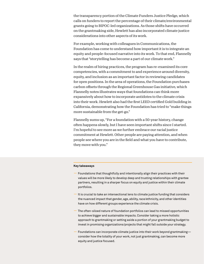the transparency portion of the Climate Funders Justice Pledge, which calls on funders to report the percentage of their climate/environmental grants going to BIPOC-led organizations. As those shifts have occurred on the grantmaking side, Hewlett has also incorporated climate justice considerations into other aspects of its work.

For example, working with colleagues in Communications, the Foundation has come to understand how important it is to integrate an equity and people-focused narrative into its work. To that end, Flannelly says that "storytelling has become a part of our climate work."

In the realm of hiring practices, the program has re-examined its core competencies, with a commitment to and experience around diversity, equity, and inclusion as an important factor in reviewing candidates for open positions. In the area of operations, the Foundation purchases carbon offsets through the Regional Greenhouse Gas initiative, which Flannelly notes illustrates ways that foundations can think more expansively about how to incorporate antidotes to the climate crisis into their work. Hewlett also had the first LEED certified Gold building in California, demonstrating how the Foundation has tried to "make things more sustainable from the get-go."

Flannelly sums up, "For a foundation with a 50-year history, change often happens slowly, but I have seen important shifts since I started. I'm hopeful to see more as we further embrace our racial justice commitment at Hewlett. Other people are paying attention, and when people see where you are in the field and what you have to contribute, they move with you."

#### **Key takeaways**

- Foundations that thoughtfully and intentionally align their practices with their values will be more likely to develop deep and trusting relationships with grantee partners, resulting in a sharper focus on equity and justice within their climate portfolios.
- It is crucial to take an intersectional lens to climate justice funding that considers the nuanced impact that gender, age, ability, race/ethnicity, and other identities have on how different groups experience the climate crisis.
- The often-siloed nature of foundation portfolios can lead to missed opportunities to achieve bigger and sustainable impacts. Consider taking a more holistic approach to grantmaking or setting aside a portion of your grantmaking budget to invest in promising organizations/projects that might fall outside your strategy.
- Foundations can incorporate climate justice into their work beyond grantmaking consider how the totality of your work, not just grantmaking, can become more equity and justice focused.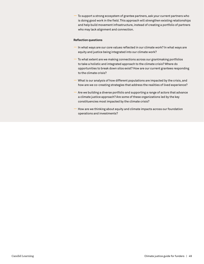**—** To support a strong ecosystem of grantee partners, ask your current partners who is doing good work in the field. This approach will strengthen existing relationships and help build movement infrastructure, instead of creating a portfolio of partners who may lack alignment and connection.

#### **Reflection questions**

- In what ways are our core values reflected in our climate work? In what ways are equity and justice being integrated into our climate work?
- To what extent are we making connections across our grantmaking portfolios to take a holistic and integrated approach to the climate crisis? Where do opportunities to break down silos exist? How are our current grantees responding to the climate crisis?
- What is our analysis of how different populations are impacted by the crisis, and how are we co-creating strategies that address the realities of lived experience?
- Are we building a diverse portfolio and supporting a range of actors that advance a climate justice approach? Are some of these organizations led by the key constituencies most impacted by the climate crisis?
- How are we thinking about equity and climate impacts across our foundation operations and investments?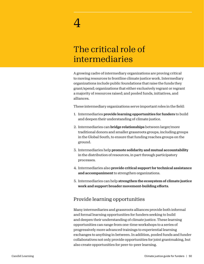# The critical role of intermediaries

A growing cadre of intermediary organizations are proving critical to moving resources to frontline climate justice work. Intermediary organizations include public foundations that raise the funds they grant/spend; organizations that either exclusively regrant or regrant a majority of resources raised; and pooled funds, initiatives, and alliances.

These intermediary organizations serve important roles in the field:

- 1. Intermediaries provide learning opportunities for funders to build and deepen their understanding of climate justice.
- 2. Intermediaries can **bridge relationships** between larger/more traditional donors and smaller grassroots groups, including groups in the Global South, to ensure that funding reaches groups on the ground.
- 3. Intermediaries help promote solidarity and mutual accountability in the distribution of resources, in part through participatory processes.
- 4. Intermediaries also provide critical support for technical assistance and accompaniment to strengthen organizations.
- 5. Intermediaries can help strengthen the ecosystem of climate justice work and support broader movement-building efforts.

### Provide learning opportunities

Many intermediaries and grassroots alliances provide both informal and formal learning opportunities for funders seeking to build and deepen their understanding of climate justice. These learning opportunities can range from one-time workshops to a series of progressively more advanced trainings to experiential learning exchanges to anything in between. In addition, pooled funds and funder collaboratives not only provide opportunities for joint grantmaking, but also create opportunities for peer-to-peer learning.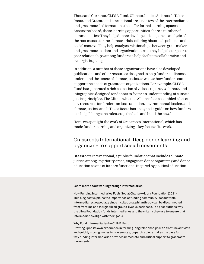Thousand Currents, CLIMA Fund, Climate Justice Alliance, It Takes Roots, and Grassroots International are just a few of the intermediaries and grassroots-led formations that offer formal learning spaces. Across the board, these learning opportunities share a number of commonalities: They help donors develop and deepen an analysis of the root causes for the climate crisis, offering historical, political, and social context. They help catalyze relationships between grantmakers and grassroots leaders and organizations. And they help foster peer-topeer relationships among funders to help facilitate collaborative and synergistic giving.

In addition, a number of these organizations have also developed publications and other resources designed to help funder audiences understand the tenets of climate justice as well as how funders can support the needs of grassroots organizations. For example, CLIMA Fund has generated a [rich collection](https://climasolutions.org/clima-resources/) of videos, reports, webinars, and infographics designed for donors to foster an understanding of climate justice principles. The Climate Justice Alliance has assembled a [list of](https://docs.google.com/document/d/1WeO0MEbkOiJMlkw8JT444fauFoBMGAKjzCosZoic9j0/edit)  [key resources](https://docs.google.com/document/d/1WeO0MEbkOiJMlkw8JT444fauFoBMGAKjzCosZoic9j0/edit) for funders on just transition, environmental justice, and climate justice, and It Takes Roots has designed a guide on how funders can help ["change the rules, stop the bad, and build the new](https://drive.google.com/file/d/1L_j6z2rj-XxlpYo0cK8AMvU27I6qID3d/view)."

Here, we spotlight the work of Grassroots International, which has made funder learning and organizing a key focus of its work.

### Grassroots International: Deep donor learning and organizing to support social movements

Grassroots International, a public foundation that includes climate justice among its priority areas, engages in donor organizing and donor education as one of its core functions. Inspired by political education

#### **Learn more about working through intermediaries**

[How Funding Intermediaries Fuels Social Change—Libra Foundation \(2021\)](https://www.thelibrafoundation.org/2021/11/how-funding-intermediaries-fuels-social-change/) This blog post explains the importance of funding community-accountable intermediaries, especially since institutional philanthropy can be disconnected from frontline and marginalized groups' lived experiences. The post outlines why the Libra Foundation funds intermediaries and the criteria they use to ensure that intermediaries align with their goals.

#### [Why Fund Intermediaries?—CLIMA Fund](https://climasolutions.org/news/why-fund-intermediaries/)

Drawing upon its own experience in forming long relationships with frontline activists and quickly moving money to grassroots groups, this piece makes the case for why funding intermediaries provides immediate and critical support to grassroots movements.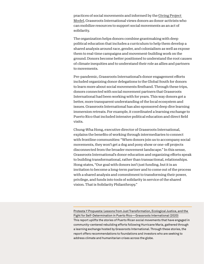practices of social movements and informed by the [Giving Project](https://www.givingprojects.org/the-giving-project-model)  [Model](https://www.givingprojects.org/the-giving-project-model), Grassroots International views donors as donor-activists who can mobilize resources to support social movements as an act of solidarity.

The organization helps donors combine grantmaking with deep political education that includes a curriculum to help them develop a shared analysis around race, gender, and colonialism as well as expose them to real-time campaigns and movement-building work on the ground. Donors become better positioned to understand the root causes of climate inequities and to understand their role as allies and partners to movements.

Pre-pandemic, Grassroots International's donor engagement efforts included organizing donor delegations to the Global South for donors to learn more about social movements firsthand. Through these trips, donors connected with social movement partners that Grassroots International had been working with for years. This way donors got a better, more transparent understanding of the local ecosystem and issues. Grassroots International has also sponsored deep dive learning immersion retreats. For example, it coordinated a learning exchange to Puerto Rico that included intensive political education and direct field visits.

Chung-Wha Hong, executive director of Grassroots International, explains the benefits of working through intermediaries to connect with frontline communities: "When donors join us to accompany social movements, they won't get a dog and pony show or one-off projects disconnected from the broader movement landscape." In this sense, Grassroots International's donor education and organizing efforts speak to building transformational, rather than transactional, relationships. Hong states, "Our goal with donors isn't just funding, but it is an invitation to become a long-term partner and to come out of the process with a shared analysis and commitment to transforming their power, privilege, and funds into tools of solidarity in service of the shared vision. That is Solidarity Philanthropy."

[Protesta Y Propuesta: Lessons from Just Transformation, Ecological Justice, and the](https://grassrootsonline.org/what-we-do/publications-and-resources/educational-resources/protesta-y-propuesta-lessons-from-puerto-rico/)  [Fight for Self-Determination in Puerto Rico—Grassroots International \(2020\)](https://grassrootsonline.org/what-we-do/publications-and-resources/educational-resources/protesta-y-propuesta-lessons-from-puerto-rico/) This report uplifts the stories of Puerto Rican social movements that have engaged in community-centered rebuilding efforts following Hurricane Maria, gathered through a learning exchange hosted by Grassroots International. Through these stories, the report offers recommendations to foundations and investors who are seeking to address climate and humanitarian crises across the globe.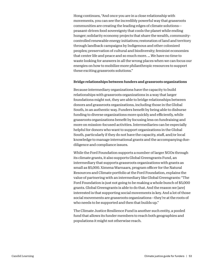Hong continues, "And once you are in a close relationship with movements, you can see the incredibly powerful way that grassroots communities are creating the leading edges of climate solutions peasant-driven food sovereignty that cools the planet while ending hunger; solidarity economy projects that share the wealth, communitycontrolled renewable energy initiatives; restoration of land and territory through landback campaigns by Indigenous and other colonized peoples; preservation of cultural and biodiversity; feminist economies that center life and peace and so much more. … We have no time to waste looking for answers in all the wrong places when we can focus our energies on how to mobilize more philanthropic resources to support these exciting grassroots solutions."

#### Bridge relationships between funders and grassroots organizations

Because intermediary organizations have the capacity to build relationships with grassroots organizations in a way that larger foundations might not, they are able to bridge relationships between donors and grassroots organizations, including those in the Global South, in an authentic way. Funders benefit by being able to disburse funding to diverse organizations more quickly and efficiently, while grassroots organizations benefit by focusing less on fundraising and more on mission-focused activities. Intermediaries can be especially helpful for donors who want to support organizations in the Global South, particularly if they do not have the capacity, staff, and/or local knowledge to manage international grants and the accompanying duediligence and compliance issues.

While the Ford Foundation supports a number of larger NGOs through its climate grants, it also supports Global Greengrants Fund, an intermediary that supports grassroots organizations with grants as small as \$5,000. Ximena Warnaars, program officer for the Natural Resources and Climate portfolio at the Ford Foundation, explains the value of partnering with an intermediary like Global Greengrants: "The Ford Foundation is just not going to be making a whole bunch of \$5,000 grants. Global Greengrants is able to do that. And the reason we [are] interested is that supporting social movements is key. And a lot of those social movements are grassroots organizations—they're at the roots of who needs to be supported and then that builds up."

The Climate Justice Resilience Fund is another such entity, a pooled fund that allows its funder members to reach both geographies and populations it might not otherwise reach.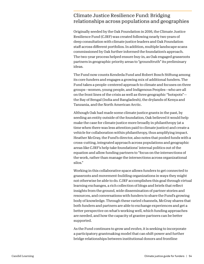### Climate Justice Resilience Fund: Bridging relationships across populations and geographies

Originally seeded by the Oak Foundation in 2016, the Climate Justice Resilience Fund (CJRF) was created following nearly two years of deep consultation with climate justice leaders and Oak Foundation staff across different portfolios. In addition, multiple landscape scans commissioned by Oak further informed the foundation's approach. The two-year process helped ensure buy-in, as Oak engaged grassroots partners in geographic priority areas to "groundtruth" its preliminary ideas.

The Fund now counts Kendeda Fund and Robert Bosch Stiftung among its core funders and engages a growing mix of additional funders. The Fund takes a people-centered approach to climate and focuses on three groups—women, young people, and Indigenous Peoples—who are all on the front lines of the crisis as well as three geographic "hotspots" the Bay of Bengal (India and Bangladesh), the drylands of Kenya and Tanzania, and the North American Arctic.

Although Oak had made some climate justice grants in the past, by seeding an entity outside of the foundation, Oak believed it would help make the case for climate justice more broadly in philanthropy (at a time when there was less attention paid to climate justice) and create a vehicle for collaboration within philanthropy, thus amplifying impact. Heather McGray, the Fund's director, also notes that pooled funds with a cross-cutting, integrated approach across populations and geographic areas like CJRF's help take foundations' internal politics out of the equation and allow funding partners to "focus on the intersections of the work, rather than manage the intersections across organizational silos."

Working in this collaborative space allows funders to get connected to grassroots and movement-building organizations in ways they might not otherwise be able to do. CJRF accomplishes this goal through virtual learning exchanges, a rich collection of blogs and briefs that reflect insights from the ground, wide dissemination of partner stories and resources, and conversations with funders to share the Fund's growing body of knowledge. Through these varied channels, McGray shares that both funders and partners are able to exchange experiences and get a better perspective on what's working well, which funding approaches are needed, and how the capacity of grantee partners can be better supported.

As the Fund continues to grow and evolve, it is seeking to incorporate a participatory grantmaking model that can shift power and further bridge relationships between institutional donors and frontline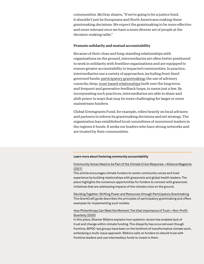communities. McGray shares, "If we're going to be a justice fund, it shouldn't just be Europeans and North Americans making these grantmaking decisions. We expect the grantmaking to be more effective and more relevant once we have a more diverse set of people at the decision-making table."

#### Promote solidarity and mutual accountability

Because of their close and long-standing relationships with organizations on the ground, intermediaries are often better positioned to work in solidarity with frontline organizations and are equipped to ensure greater accountability to impacted communities. In practice, intermediaries use a variety of approaches, including front-lined governed funds; [participatory grantmaking;](https://www.participatorygrantmaking.org) the use of advisory councils; deep, [trust-based relationships](https://www.trustbasedphilanthropy.org/) built over the long term; and frequent and generative feedback loops, to name just a few. By incorporating such practices, intermediaries are able to share and shift power in ways that may be more challenging for larger or more mainstream funders.

Global Greengrants Fund, for example, relies heavily on local advisors and partners to inform its grantmaking decisions and set strategy. The organization has established local committees of movement leaders in the regions it funds. It seeks out leaders who have strong networks and are trusted by their communities.

#### **Learn more about fostering community accountability**

#### [Community Voices Need to be Part of the Climate Crisis Response—Alliance Magazine](https://www.alliancemagazine.org/blog/center-community-voices-in-philanthropys-response-to-the-climate-crisis/)  [\(2021\)](https://www.alliancemagazine.org/blog/center-community-voices-in-philanthropys-response-to-the-climate-crisis/)

This article encourages climate funders to center community voices and lived experience by building relationships with grassroots and global health leaders. The piece highlights the numerous opportunities for funders to connect with grassroots initiatives that are addressing impacts of the climate crisis on the ground.

[Deciding Together: Shifting Power and Resources through Participatory Grantmaking](https://learningforfunders.candid.org/wp-content/uploads/sites/2/2018/12/DecidingTogether_Final_20181002.pdf) This GrantCraft guide describes the principles of participatory grantmaking and offers examples for implementing such models.

#### [How Philanthropy Can Meet the Moment: The Vital Importance of Trust—Non-Profit](https://nonprofitquarterly.org/how-philanthropy-can-meet-the-moment-the-vital-importance-of-trust/)  [Quarterly \(2020\)](https://nonprofitquarterly.org/how-philanthropy-can-meet-the-moment-the-vital-importance-of-trust/)

In this piece, Shamar Bibbins explains how systemic racism has enabled lack of trust and change within climate funding. This disparity has occurred even though frontline, BIPOC-led groups have been on the forefront of transformative climate work, embodying a multi-issue approach. Bibbins calls on funders to rebuild trust with frontline leaders and use intermediary funds to invest in them.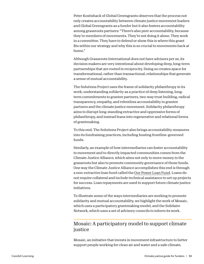Peter Kostishack of Global Greengrants observes that the process not only creates accountability between climate justice movement leaders and Global Greengrants as a funder but it also fosters accountability among grassroots partners: "There's also peer accountability, because they're members of movements. They're not doing it alone. They work in a committee. They have to defend or show this is where this grant fits within our strategy and why this is so crucial to movements back at home."

Although Grassroots International does not have advisors per se, its decision makers are very intentional about developing deep, long-term partnerships that are rooted in reciprocity. Doing so creates space for transformational, rather than transactional, relationships that generate a sense of mutual accountability.

The Solutions Project uses the frame of solidarity philanthropy in its work, understanding *solidarity* as a practice of deep listening, longterm commitments to grantee partners, two-way trust building, radical transparency, empathy, and relentless accountability to grantee partners and the climate justice movement. Solidarity philanthropy aims to disrupt long-standing extractive and oppressive forms of philanthropy, and instead leans into regenerative and relational forms of grantmaking.

To this end, The Solutions Project also brings accountability measures into its fundraising practices, including hosting frontline-governed funds.

Similarly, an example of how intermediaries can foster accountability to movement and to directly impacted communities comes from the Climate Justice Alliance, which aims not only to move money to the grassroots but also to promote community governance of those funds. One way the Climate Justice Alliance accomplishes this end is through a non-extractive loan fund called the [Our Power Loan Fund.](https://drive.google.com/file/d/1_18xfDkq1c2U8uOwWxf2itGRSZzPiFlr/view) Loans do not require collateral and include technical assistance to set up projects for success. Loan repayments are used to support future climate justice initiatives.

To illustrate some of the ways intermediaries are working to promote solidarity and mutual accountability, we highlight the work of Mosaic, which uses a participatory grantmaking model, and the Solidaire Network, which uses a set of advisory councils to inform its work.

### Mosaic: A participatory model to support climate justice

Mosaic, an initiative that invests in movement infrastructure to better support people working for clean air and water and a safe climate,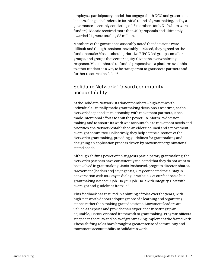employs a participatory model that engages both NGO and grassroots leaders alongside funders. In its initial round of grantmaking, led by a governance assembly consisting of 16 members (only 3 of whom were funders), Mosaic received more than 400 proposals and ultimately awarded 21 grants totaling \$3 million.

Members of the governance assembly noted that decisions were difficult and though tensions inevitably surfaced, they agreed on the fundamentals: Mosaic should prioritize BIPOC-led groups, smaller groups, and groups that center equity. Given the overwhelming response, Mosaic shared unfunded proposals on a platform available to other funders as a way to be transparent to grassroots partners and further resource the field.25

### Solidaire Network: Toward community accountability

At the Solidaire Network, its donor members—high-net-worth individuals—initially made grantmaking decisions. Over time, as the Network deepened its relationship with movement partners, it has made intentional efforts to shift the power. To inform its decision making and to ensure its work was accountable to movement needs and priorities, the Network established an elders' council and a movement oversight committee. Collectively, they help set the direction of the Network's grantmaking, providing guidelines for grantmaking and designing an application process driven by movement organizations' stated needs.

Although shifting power often suggests participatory grantmaking, the Network's partners have consistently indicated that they do not want to be involved in grantmaking. Janis Rosheuvel, program director, shares, "Movement [leaders are] saying to us, 'Stay connected to us. Stay in conversation with us. Stay in dialogue with us. Get our feedback, but grantmaking is not our job. Do your job. Do it with integrity. Do it with oversight and guidelines from us.'"

This feedback has resulted in a shifting of roles over the years, with high-net-worth donors adopting more of a learning and organizing stance rather than making grant decisions. Movement leaders are valued as experts and provide their experience in setting up an equitable, justice-oriented framework to grantmaking. Program officers steeped in the nuts and bolts of grantmaking implement the framework. These shifting roles have brought a greater sense of community and movement accountability to Solidaire's work.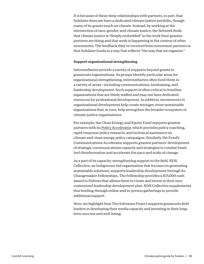It is because of these deep relationships with partners, in part, that Solidaire does not have a dedicated climate justice portfolio, though many of its grants touch on climate. Instead, by working at the intersection of race, gender, and climate justice, the Network finds that climate justice is "deeply embedded" in the work their grantee partners are doing and that work is happening in the context of other movements. The feedback they've received from movement partners is that Solidaire funds in a way that reflects "the way that we organize."

#### Support organizational strengthening

Intermediaries provide a variety of supports beyond grants to grassroots organizations. As groups identify particular areas for organizational strengthening, intermediaries often fund them in a variety of areas—including communications, fundraising, and leadership development. Such support is often critical to frontline organizations that are thinly staffed and may not have dedicated resources for professional development. In addition, investments in organizational development help create stronger, more sustainable organizations that, in turn, help strengthen the broader ecosystem of climate justice organizations.

For example, the Clean Energy and Equity Fund supports grantee partners with its [Policy Accelerator,](https://www.theequityfund.org/about-policy-accelerator) which provides policy coaching, rapid-response policy research, and technical assistance on climate and clean energy policy campaigns. Similarly, the Fund's Communications Accelerator supports grantee partners' development of strategic communications capacity and strategies to combat fossil fuel disinformation and accelerate the pace and scale of change.

As a part of its capacity-strengthening support to the field, NDN Collective, an Indigenous-led organization that focuses on generating sustainable solutions, supports leadership development through its Changemaker Fellowships. The Fellowship provides a \$75,000 cash award to Fellows that allows them to create and invest in their own customized leadership development plan. NDN Collective supplements this funding through online and in-person gatherings to provide additional support.

Here, we highlight how The Solutions Project supports grassroots field leaders in developing their media capacity and investing in their longterm success and well-being.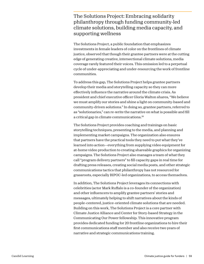### The Solutions Project: Embracing solidarity philanthropy through funding community-led climate solutions, building media capacity, and supporting wellness

The Solutions Project, a public foundation that emphasizes investments in female leaders of color on the frontlines of climate justice, observed that though their grantee partners were at the cutting edge of generating creative, intersectional climate solutions, media coverage rarely featured their voices. This omission led to a perpetual cycle of under-appreciating and under-resourcing the work of frontline communities.

To address this gap, The Solutions Project helps grantee partners develop their media and storytelling capacity so they can more effectively influence the narrative around the climate crisis. As president and chief executive officer Gloria Walton shares, "We believe we must amplify our stories and shine a light on community-based and community-driven solutions." In doing so, grantee partners, referred to as "solutionaries," can re-write the narrative on what is possible and fill a critical gap in climate communications.26

The Solutions Project provides coaching and trainings on basic storytelling techniques, presenting to the media, and planning and implementing market campaigns. The organization also ensures that partners have the practical tools they need to put what they've learned into action—everything from supplying video equipment for at-home video production to creating shareable graphics for organizing campaigns. The Solutions Project also manages a team of what they call "program delivery partners" to fill capacity gaps in real time for drafting press releases, creating social media posts, and other strategic communications tactics that philanthropy has not resourced for grassroots, especially BIPOC-led organizations, to access themselves.

In addition, The Solutions Project leverages its connections with celebrities (actor Mark Ruffalo is a co-founder of the organization) and other influencers to amplify grantee partners' stories and messages, ultimately helping to shift narratives about the kinds of people-centered, justice-oriented climate solutions that are needed. Building on this work, The Solutions Project is a core partner with Climate Justice Alliance and Center for Story-based Strategy in the Communicating Our Power fellowship. This innovative program provides dedicated funding for 20 frontline organizations to hire their first communications staff member and also receive two years of narrative and strategic communications training.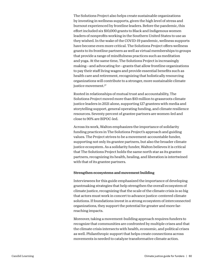The Solutions Project also helps create sustainable organizations by investing in wellness supports, given the high level of stress and burnout experienced by frontline leaders. Before the pandemic, this effort included six \$10,000 grants to Black and Indigenous women leaders of nonprofits working in the Southern United States to use as they wished. In the wake of the COVID-19 pandemic, wellness supports have become even more critical. The Solutions Project offers wellness grants to its frontline partners as well as virtual memberships to groups that provide a range of mindfulness practices such as meditation and yoga. At the same time, The Solutions Project is increasingly making—and advocating for—grants that allow frontline organizations to pay their staff living wages and provide essential benefits such as health care and retirement, recognizing that holistically resourcing organizations will contribute to a stronger, more sustainable climate justice movement.<sup>27</sup>

Rooted in relationships of mutual trust and accountability, The Solutions Project moved more than \$10 million to grassroots climate justice leaders in 2021 alone, supporting 127 grantees with media and storytelling support, general operating funding, and climate resilience resources. Seventy percent of grantee partners are women-led and close to 90% are BIPOC-led.

Across its work, Walton emphasizes the importance of solidarity funding practices in The Solutions Project's approach and guiding values. The Project strives to be a movement-accountable funder, supporting not only its grantee partners, but also the broader climate justice ecosystem. As a solidarity funder, Walton believes it is critical that The Solutions Project holds the same north star as its grantee partners, recognizing its health, healing, and liberation is intertwined with that of its grantee partners.

#### Strengthen ecosystems and movement building

Interviewees for this guide emphasized the importance of developing grantmaking strategies that help strengthen the overall ecosystem of climate justice, recognizing that the scale of the climate crisis is so big that actors must work in concert to advance justice-centered climate solutions. If foundations invest in a strong ecosystem of interconnected organizations, they support the potential for greater and more farreaching impacts.

Moreover, taking a movement-building approach requires funders to recognize that communities are confronted by multiple crises and that the climate crisis intersects with health, economic, and political crises as well. Philanthropic support that helps create connections across movements is needed to catalyze transformative climate action.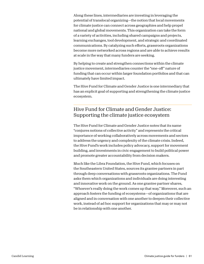Along these lines, intermediaries are investing in leveraging the potential of translocal organizing—the notion that local movements for climate justice can connect across geographies and help propel national and global movements. This organization can take the form of a variety of activities, including shared campaigns and projects, learning exchanges, tool development, and strategic and coordinated communications. By catalyzing such efforts, grassroots organizations become more networked across regions and are able to achieve results at scale in the way that many funders are seeking.

By helping to create and strengthen connections within the climate justice movement, intermediaries counter the "one-off" nature of funding that can occur within larger foundation portfolios and that can ultimately have limited impact.

The Hive Fund for Climate and Gender Justice is one intermediary that has an explicit goal of supporting and strengthening the climate justice ecosystem.

### Hive Fund for Climate and Gender Justice: Supporting the climate justice ecosystem

The Hive Fund for Climate and Gender Justice notes that its name "conjures notions of collective activity" and represents the critical importance of working collaboratively across movements and sectors to address the urgency and complexity of the climate crisis. Indeed, the Hive Fund's work includes policy advocacy, support for movement building, and investments in civic engagement to build political power and promote greater accountability from decision makers.

Much like the Libra Foundation, the Hive Fund, which focuses on the Southeastern United States, sources its grantee partners in part through deep conversations with grassroots organizations. The Fund asks them which organizations and individuals are doing interesting and innovative work on the ground. As one grantee partner shares, "Whoever's really doing the work comes up that way." Moreover, such an approach fosters the funding of ecosystems—of organizations that are aligned and in conversation with one another to deepen their collective work, instead of ad hoc support for organizations that may or may not be in relationship with one another.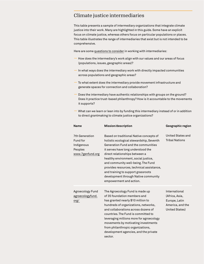### Climate justice intermediaries

This table presents a sample of intermediary organizations that integrate climate justice into their work. Many are highlighted in this guide. Some have an explicit focus on climate justice, whereas others focus on particular populations or places. This table illustrates the range of intermediaries that exist but is not intended to be comprehensive.

Here are some [questions to consider](https://www.thelibrafoundation.org/2021/11/how-funding-intermediaries-fuels-social-change/) in working with intermediaries:

- How does the intermediary's work align with our values and our areas of focus (populations, issues, geographic areas)?
- In what ways does the intermediary work with directly impacted communities across populations and geographic areas?
- To what extent does the intermediary provide movement infrastructure and generate spaces for connection and collaboration?
- Does the intermediary have authentic relationships with groups on the ground? Does it practice trust-based philanthropy? How is it accountable to the movements it supports?
- What can we learn or lean into by funding this intermediary instead of or in addition to direct grantmaking to climate justice organizations?

| Name                                                                    | Mission/description                                                                                                                                                                                                                                                                                                                                                                                                                    | Geographic region                                                                      |
|-------------------------------------------------------------------------|----------------------------------------------------------------------------------------------------------------------------------------------------------------------------------------------------------------------------------------------------------------------------------------------------------------------------------------------------------------------------------------------------------------------------------------|----------------------------------------------------------------------------------------|
| 7th Generation<br>Fund for<br>Indigenous<br>Peoples<br>www.7genfund.org | Based on traditional Native concepts of<br>holistic ecological stewardship, Seventh<br>Generation Fund and the communities<br>it serves have long understood the<br>direct relationships between a<br>healthy environment, social justice,<br>and community well-being. The Fund<br>provides resources, technical assistance,<br>and training to support grassroots<br>development through Native community<br>empowerment and action. | United States and<br><b>Tribal Nations</b>                                             |
| Agroecology Fund<br>agroecologyfund.<br>org/                            | The Agroecology Fund is made up<br>of 35 foundation members and<br>has granted nearly \$10 million to<br>hundreds of organizations, networks,<br>and collaborations across dozens of<br>countries. The Fund is committed to<br>leveraging millions more for agroecology<br>movements by motivating investments<br>from philanthropic organizations,<br>development agencies, and the private<br>sector.                                | International<br>(Africa, Asia,<br>Europe, Latin<br>America, and the<br>United States) |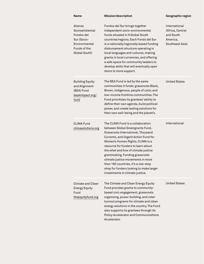| <b>Name</b>                                                                                              | Mission/description                                                                                                                                                                                                                                                                                                                                                                                                                                                | Geographic region                                                             |
|----------------------------------------------------------------------------------------------------------|--------------------------------------------------------------------------------------------------------------------------------------------------------------------------------------------------------------------------------------------------------------------------------------------------------------------------------------------------------------------------------------------------------------------------------------------------------------------|-------------------------------------------------------------------------------|
| Alianza<br>Socioambiental<br>Fondos del<br>Sur (Socio-<br>Environmental<br>Funds of the<br>Global South) | Fondos del Sur brings together<br>independent socio-environmental<br>funds situated in 9 Global South<br>countries/regions. Each Fondo del Sur<br>is a nationally/regionally based funding<br>disbursement structure operating in<br>local languages and cultures, making<br>grants in local currencies, and offering<br>a safe space for community leaders to<br>develop skills that will eventually open<br>doors to more support.                               | International<br>(Africa, Central<br>and South<br>America,<br>Southeast Asia) |
| <b>Building Equity</b><br>and Alignment<br>(BEA) Fund<br>bea4impact.org/<br>fund                         | The BEA Fund is led by the same<br>communities it funds: grassroots Black,<br>Brown, Indigenous, people of color, and<br>low-income frontline communities. The<br>Fund prioritizes its grantees' ability to<br>define their own agenda, build political<br>power, and create lasting solutions for<br>their own well-being and the planet's.                                                                                                                       | <b>United States</b>                                                          |
| CLIMA Fund<br>climasolutions.org                                                                         | The CLIMA Fund is a collaboration<br>between Global Greengrants Fund,<br>Grassroots International, Thousand<br>Currents, and Urgent Action Fund for<br>Women's Human Rights. CLIMA is a<br>resource for funders to learn about<br>the what and how of climate justice<br>grantmaking. Funding grassroots<br>climate justice movements in more<br>than 160 countries, it's a one-stop<br>shop for funders looking to make larger<br>investments in climate justice. | International                                                                 |
| Climate and Clean<br><b>Energy Equity</b><br>Fund<br>theequityfund.org                                   | The Climate and Clean Energy Equity<br>Fund provides grants to community-<br>based civic engagement, grassroots<br>organizing, power-building, and voter<br>turnout programs for climate and clean<br>energy solutions in the country. The Fund<br>also supports its grantees through its<br><b>Policy Accelerator and Communications</b><br>Accelerator.                                                                                                          | <b>United States</b>                                                          |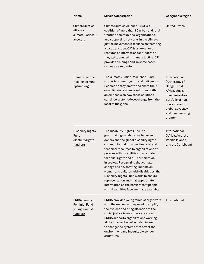#### **Name Mission/description Geographic region**

| Climate Justice<br>Alliance<br>climatejusticealli-<br>ance.org      | Climate Justice Alliance (CJA) is a<br>coalition of more than 80 urban and rural<br>frontline communities, organizations,<br>and supporting networks in the climate<br>justice movement. It focuses on fostering<br>a just transition. CJA is an excellent<br>resource of information for funders as<br>they get grounded in climate justice. CJA<br>provides trainings and, in some cases,<br>serves as a regrantor.                                                                                                                                                                       | United States                                                                                                                                                              |
|---------------------------------------------------------------------|---------------------------------------------------------------------------------------------------------------------------------------------------------------------------------------------------------------------------------------------------------------------------------------------------------------------------------------------------------------------------------------------------------------------------------------------------------------------------------------------------------------------------------------------------------------------------------------------|----------------------------------------------------------------------------------------------------------------------------------------------------------------------------|
| Climate Justice<br>Resilience Fund<br>cjrfund.org                   | The Climate Justice Resilience Fund<br>supports women, youth, and Indigenous<br>Peoples as they create and share their<br>own climate resilience solutions, with<br>an emphasis on how these solutions<br>can drive systems-level change from the<br>local to the global.                                                                                                                                                                                                                                                                                                                   | International<br>(Arctic, Bay of<br>Bengal, East<br>Africa, plus a<br>complementary<br>portfolio of non-<br>place-based<br>global advocacy<br>and peer learning<br>grants) |
| Disability Rights<br>Fund<br>disabilityrights-<br>fund.org          | The Disability Rights Fund is a<br>grantmaking collaborative between<br>donors and the global disability rights<br>community that provides financial and<br>technical resources to organizations of<br>persons with disabilities to advocate<br>for equal rights and full participation<br>in society. Recognizing that climate<br>change has devastating impacts on<br>women and children with disabilities, the<br>Disability Rights Fund works to ensure<br>representation and that appropriate<br>information on the barriers that people<br>with disabilities face are made available. | International<br>(Africa, Asia, the<br>Pacific Islands,<br>and the Caribbean)                                                                                              |
| FRIDA   Young<br><b>Feminist Fund</b><br>youngfeminist-<br>fund.org | FRIDA provides young feminist organizers<br>with the resources they need to amplify<br>their voices and bring attention to the<br>social justice issues they care about.<br>FRIDA supports organizations working<br>at the intersection of eco-feminism<br>to change the systems that affect the<br>environment and inequitable gender<br>structures.                                                                                                                                                                                                                                       | International                                                                                                                                                              |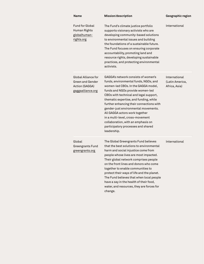| <b>Name</b>                                                                                  | Mission/description                                                                                                                                                                                                                                                                                                                                                                                                                                                                              | Geographic region                                 |
|----------------------------------------------------------------------------------------------|--------------------------------------------------------------------------------------------------------------------------------------------------------------------------------------------------------------------------------------------------------------------------------------------------------------------------------------------------------------------------------------------------------------------------------------------------------------------------------------------------|---------------------------------------------------|
| <b>Fund for Global</b><br>Human Rights<br>globalhuman-<br>rights.org                         | The Fund's climate justice portfolio<br>supports visionary activists who are<br>developing community-based solutions<br>to environmental issues and building<br>the foundations of a sustainable future.<br>The Fund focuses on ensuring corporate<br>accountability, promoting land and<br>resource rights, developing sustainable<br>practices, and protecting environmental<br>activists.                                                                                                     | International                                     |
| <b>Global Alliance for</b><br><b>Green and Gender</b><br>Action (GAGGA)<br>gaggaalliance.org | GAGGA's network consists of women's<br>funds, environmental funds, NGOs, and<br>women-led CBOs. In the GAGGA model,<br>funds and NGOs provide women-led<br>CBOs with technical and legal support,<br>thematic expertise, and funding, while<br>further enhancing their connections with<br>gender-just environmental movements.<br>All GAGGA actors work together<br>in a multi-level, cross-movement<br>collaboration, with an emphasis on<br>participatory processes and shared<br>leadership. | International<br>(Latin America,<br>Africa, Asia) |
| Global<br>Greengrants Fund<br>greengrants.org                                                | The Global Greengrants Fund believes<br>that the best solutions to environmental<br>harm and social injustice come from<br>people whose lives are most impacted.<br>Their global network comprises people<br>on the front lines and donors who come<br>together to enable communities to<br>protect their ways of life and the planet.<br>The Fund believes that when local people<br>have a say in the health of their food,<br>water, and resources, they are forces for<br>change.            | International                                     |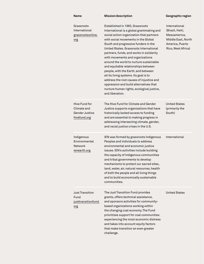| Name                                                           | Mission/description                                                                                                                                                                                                                                                                                                                                                                                                                                                                                                                                                                                                                                         | Geographic region                                                                                               |
|----------------------------------------------------------------|-------------------------------------------------------------------------------------------------------------------------------------------------------------------------------------------------------------------------------------------------------------------------------------------------------------------------------------------------------------------------------------------------------------------------------------------------------------------------------------------------------------------------------------------------------------------------------------------------------------------------------------------------------------|-----------------------------------------------------------------------------------------------------------------|
| Grassroots<br>International<br>grassrootsonline.<br>org        | Established in 1983, Grassroots<br>International is a global grantmaking and<br>social action organization that partners<br>with social movements in the Global<br>South and progressive funders in the<br>United States, Grassroots International<br>partners, funds, and works in solidarity<br>with movements and organizations<br>around the world to nurture sustainable<br>and equitable relationships between<br>people, with the Earth, and between<br>all its living systems. Its goal is to<br>address the root causes of injustice and<br>oppression and build alternatives that<br>nurture human rights, ecological justice,<br>and liberation. | International<br>(Brazil, Haiti,<br>Mesoamerica,<br>Middle East, North<br>America, Puerto<br>Rico, West Africa) |
| Hive Fund for<br>Climate and<br>Gender Justice<br>hivefund.org | The Hive Fund for Climate and Gender<br>Justice supports organizations that have<br>historically lacked access to funding<br>and are essential to making progress in<br>addressing intersecting climate, gender,<br>and racial justice crises in the U.S.                                                                                                                                                                                                                                                                                                                                                                                                   | <b>United States</b><br>(primarily the<br>South)                                                                |
| Indigenous<br>Environmental<br><b>Network</b><br>ienearth.org  | IEN was formed by grassroots Indigenous<br>Peoples and individuals to address<br>environmental and economic justice<br>issues. IEN's activities include building<br>the capacity of Indigenous communities<br>and tribal governments to develop<br>mechanisms to protect our sacred sites,<br>land, water, air, natural resources, health<br>of both the people and all living things<br>and to build economically sustainable<br>communities.                                                                                                                                                                                                              | International                                                                                                   |
| Just Transition<br>Fund<br>justtransitionfund.<br>org          | The Just Transition Fund provides<br>grants, offers technical assistance,<br>and sponsors activities for community-<br>based organizations working within<br>the changing coal economy. The Fund<br>prioritizes support for coal communities<br>experiencing the most economic distress<br>and takes into account equity factors<br>that make transition an even greater<br>challenge.                                                                                                                                                                                                                                                                      | <b>United States</b>                                                                                            |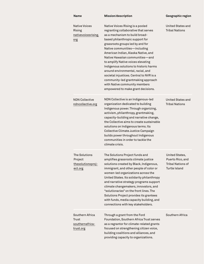| Name                                                         | <b>Mission/description</b>                                                                                                                                                                                                                                                                                                                                                                                                                                                                                                                                                | Geographic region                                                               |
|--------------------------------------------------------------|---------------------------------------------------------------------------------------------------------------------------------------------------------------------------------------------------------------------------------------------------------------------------------------------------------------------------------------------------------------------------------------------------------------------------------------------------------------------------------------------------------------------------------------------------------------------------|---------------------------------------------------------------------------------|
| <b>Native Voices</b><br>Rising<br>nativevoicesrising.<br>org | Native Voices Rising is a pooled<br>regranting collaborative that serves<br>as a mechanism to build broad-<br>based philanthropic support for<br>grassroots groups led by and for<br>Native communities-including<br>American Indian, Alaska Native, and<br>Native Hawaiian communities-and<br>to amplify Native voices elevating<br>Indigenous solutions to historic harms<br>around environmental, racial, and<br>societal injustices. Central to NVR is a<br>community-led grantmaking approach<br>with Native community members<br>empowered to make grant decisions. | United States and<br><b>Tribal Nations</b>                                      |
| <b>NDN Collective</b><br>ndncollective.org                   | NDN Collective is an Indigenous-led<br>organization dedicated to building<br>Indigenous power. Through organizing,<br>activism, philanthropy, grantmaking,<br>capacity-building and narrative change,<br>the Collective aims to create sustainable<br>solutions on Indigenous terms. Its<br>Collective Climate Justice Campaign<br>builds power throughout Indigenous<br>communities in order to tackle the<br>climate crisis.                                                                                                                                            | United States and<br><b>Tribal Nations</b>                                      |
| The Solutions<br>Project<br>thesolutionsproj-<br>ect.org     | The Solutions Project funds and<br>amplifies grassroots climate justice<br>solutions created by Black, Indigenous,<br>immigrant, and other people of color or<br>women-led organizations across the<br>United States. Its solidarity philanthropy<br>and narrative strategy programs support<br>climate changemakers, innovators, and<br>"solutionaries" on the front lines. The<br>Solutions Project provides its grantees<br>with funds, media capacity building, and<br>connections with key stakeholders.                                                             | United States,<br>Puerto Rico, and<br><b>Tribal Nations of</b><br>Turtle Island |
| Southern Africa<br>Trust<br>southernafrica-<br>trust.org     | Through a grant from the Ford<br>Foundation, Southern Africa Trust serves<br>as a regrantor for climate-related grants<br>focused on strengthening citizen voice,<br>building coalitions and alliances, and<br>providing capacity to organizations.                                                                                                                                                                                                                                                                                                                       | Southern Africa                                                                 |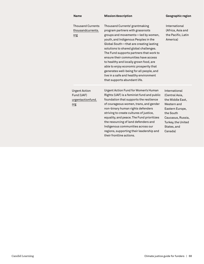| <b>Name</b>                                                    | Mission/description                                                                                                                                                                                                                                                                                                                                                                                                                                                                                                               | Geographic region                                                                                                                                                       |
|----------------------------------------------------------------|-----------------------------------------------------------------------------------------------------------------------------------------------------------------------------------------------------------------------------------------------------------------------------------------------------------------------------------------------------------------------------------------------------------------------------------------------------------------------------------------------------------------------------------|-------------------------------------------------------------------------------------------------------------------------------------------------------------------------|
| <b>Thousand Currents</b><br>thousandcurrents.<br>org           | Thousand Currents' grantmaking<br>program partners with grassroots<br>groups and movements-led by women,<br>youth, and Indigenous Peoples in the<br>Global South-that are creating lasting<br>solutions to shared global challenges.<br>The Fund supports partners that work to<br>ensure their communities have access<br>to healthy and locally grown food, are<br>able to enjoy economic prosperity that<br>generates well-being for all people, and<br>live in a safe and healthy environment<br>that supports abundant life. | International<br>(Africa, Asia and<br>the Pacific, Latin<br>America)                                                                                                    |
| <b>Urgent Action</b><br>Fund (UAF)<br>urgentactionfund.<br>org | Urgent Action Fund for Women's Human<br>Rights (UAF) is a feminist fund and public<br>foundation that supports the resilience<br>of courageous women, trans, and gender<br>non-binary human rights defenders<br>striving to create cultures of justice,<br>equality, and peace. The Fund prioritizes<br>the resourcing of land defenders and<br>Indigenous communities across our<br>regions, supporting their leadership and<br>their frontline actions.                                                                         | International<br>(Central Asia,<br>the Middle East,<br>Western and<br>Eastern Europe,<br>the South<br>Caucasus, Russia,<br>Turkey, the United<br>States, and<br>Canada) |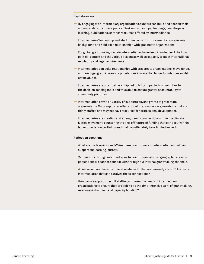#### **Key takeaways**

- By engaging with intermediary organizations, funders can build and deepen their understanding of climate justice. Seek out workshops, trainings, peer-to-peer learning, publications, or other resources offered by intermediaries.
- Intermediaries' leadership and staff often come from movements or organizing background and hold deep relationships with grassroots organizations.
- For global grantmaking, certain intermediaries have deep knowledge of the local political context and the various players as well as capacity to meet international regulatory and legal requirements.
- Intermediaries can build relationships with grassroots organizations, move funds, and reach geographic areas or populations in ways that larger foundations might not be able to.
- Intermediaries are often better equipped to bring impacted communities to the decision-making table and thus able to ensure greater accountability to community priorities.
- Intermediaries provide a variety of supports beyond grants to grassroots organizations. Such support is often critical to grassroots organizations that are thinly staffed and may not have resources for professional development.
- Intermediaries are creating and strengthening connections within the climate justice movement, countering the one-off nature of funding that can occur within larger foundation portfolios and that can ultimately have limited impact.

#### **Reflection questions**

- What are our learning needs? Are there practitioners or intermediaries that can support our learning journey?
- Can we work through intermediaries to reach organizations, geographic areas, or populations we cannot connect with through our internal grantmaking channels?
- Whom would we like to be in relationship with that we currently are not? Are there intermediaries that can catalyze those connections?
- How can we support the full staffing and resource needs of intermediary organizations to ensure they are able to do the time-intensive work of grantmaking, relationship building, and capacity building?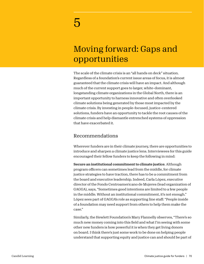# Moving forward: Gaps and opportunities

The scale of the climate crisis is an "all hands on deck" situation. Regardless of a foundation's current issue areas of focus, it is almost guaranteed that the climate crisis will have an impact. And although much of the current support goes to larger, white-dominant, longstanding climate organizations in the Global North, there is an important opportunity to harness innovative and often overlooked climate solutions being generated by those most impacted by the climate crisis. By investing in people-focused, justice-centered solutions, funders have an opportunity to tackle the root causes of the climate crisis and help dismantle entrenched systems of oppression that have exacerbated it.

### Recommendations

Wherever funders are in their climate journey, there are opportunities to introduce and sharpen a climate justice lens. Interviewees for this guide encouraged their fellow funders to keep the following in mind:

Secure an institutional commitment to climate justice. Although program officers can sometimes lead from the middle, for climate justice strategies to have traction, there has to be a commitment from the board and executive leadership. Indeed, Carla López, executive director of the Fondo Centroamericano de Mujeres (lead organization of GAGGA), says, "Sometimes good intentions are limited to a few people in the middle. Without an institutional commitment, it's not enough." López sees part of GAGGA's role as supporting line staff: "People inside of a foundation may need support from others to help them make the case."

Similarly, the Hewlett Foundation's Mary Flannelly observes, "There's so much new money coming into this field and what I'm seeing with some other new funders is how powerful it is when they get living donors on board. I think there's just some work to be done on helping people understand that supporting equity and justice can and should be part of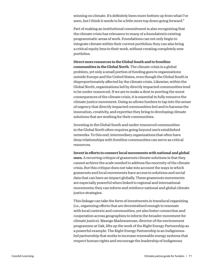winning on climate. It's definitely been more bottom up from what I've seen, but I think it needs to be a little more top down going forward."

Part of making an institutional commitment is also recognizing that the climate crisis has relevance to many of a foundation's existing programmatic areas of work. Foundations can not only begin to integrate climate within their current portfolios; they can also bring a critical equity lens to their work, without creating completely new portfolios.

Direct more resources to the Global South and to frontline communities in the Global North. The climate crisis is a global problem, yet only a small portion of funding goes to organizations outside Europe and the United States, even though the Global South is disproportionately affected by the climate crisis. Likewise, within the Global North, organizations led by directly impacted communities tend to be under-resourced. If we are to make a dent in averting the worst consequences of the climate crisis, it is essential to fully resource the climate justice movement. Doing so allows funders to tap into the sense of urgency that directly impacted communities feel and to harness the innovation, creativity, and expertise they bring to developing climate solutions that are working for their communities.

Investing in the Global South and under-resourced communities in the Global North often requires going beyond one's established networks. To this end, intermediary organizations that often have deep relationships with frontline communities can serve as critical resources.

Invest in efforts to connect local movements with national and global ones. A recurring critique of grassroots climate solutions is that they cannot achieve the scale needed to address the enormity of the climate crisis. But this critique does not take into account the ways in which grassroots and local movements have access to solutions and social data that can have an impact globally. These grassroots movements are especially powerful when linked to regional and international movements; they can inform and reinforce national and global climate justice strategies.

This linkage can take the form of investments in translocal organizing (i.e., organizing efforts that are decentralized enough to resonate with local contexts and communities, yet also foster connection and cooperation across geographies to inform the broader movement for climate justice). Masego Madzwamuse, director of the environment programme at Oak, lifts up the work of the Right Energy Partnership as a powerful example. The Right Energy Partnership is an Indigenousled partnership that works to increase renewable energy systems that respect human rights and encourage the leadership of Indigenous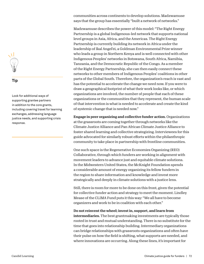#### **Tip**

Look for additional ways of supporting grantee partners in addition to the core grants, including covering travel for learning exchanges, addressing language justice needs, and supporting crisis response.

communities across continents to develop solutions. Madzwamuse says that the group has essentially "built a network of networks."

Madzwamuse describes the power of this model: "The Right Energy Partnership is a global Indigenous-led network that supports national level groups in Asia, Africa, and the Americas. The Right Energy Partnership is currently building its network in Africa under the leadership of Ikal Angel'ei, a Goldman Environmental Prize winner who leads a group in Northern Kenya and is well connected with other Indigenous Peoples' networks in Botswana, South Africa, Namibia, Tanzania, and the Democratic Republic of the Congo. As a member of the Right Energy Partnership, she can then easily connect these networks to other members of Indigenous Peoples' coalitions in other parts of the Global South. Therefore, the organization's reach is vast and has the potential to accelerate the change we need now. If you were to draw a geographical footprint of what their work looks like, or which organizations are involved, the number of people that each of these organizations or the communities that they represent, the human scale of that intervention is what is needed to accelerate and create the kind of systemic change that is needed now."

Engage in peer organizing and collective funder action. Organizations at the grassroots are coming together through networks like the Climate Justice Alliance and Pan African Climate Justice Alliance to foster shared learning and collective strategizing. Interviewees for this guide advocated for similarly robust efforts within the philanthropic community to take place in partnership with frontline communities.

One such space is the Regenerative Economies Organizing (REO) Collaborative, through which funders are working in alignment with movement leaders to advance just and equitable climate solutions. In the Midwestern United States, the McKnight Foundation spends a considerable amount of energy organizing its fellow funders in the region to share information and knowledge and invest more strategically and deeply in climate solutions with a justice lens.

Still, there is room for more to be done on this front, given the potential for collective funder action and strategy to meet the moment. Lindley Mease of the CLIMA Fund puts it this way: "We all have to become organizers and work to be in coalition with each other."

Do not reinvent the wheel; invest in, support, and learn from

intermediaries. The best grantmaking investments are typically those rooted in trust and mutual understanding. There is no substitute for the time that goes into relationship building. Intermediary organizations can bridge relationships with grassroots organizations and often have their pulse on how the field is shifting, what supports are needed, and where innovations are occurring. Along these lines, it's important for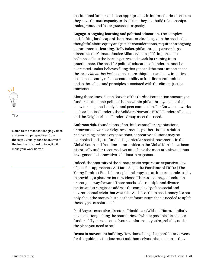institutional funders to invest appropriately in intermediaries to ensure they have the staff capacity to do all that they do—build relationships, make grants, and foster grassroots capacity.

Engage in ongoing learning and political education. The complex and shifting landscape of the climate crisis, along with the need to be thoughtful about equity and justice considerations, requires an ongoing commitment to learning. Holly Baker, philanthropic partnerships director at the Climate Justice Alliance, states, "It's important to be honest about the learning curve and to ask for training from practitioners. The need for political education of funders cannot be overstated." Baker believes filling this gap is all the more important as the term *climate justice* becomes more ubiquitous and new initiatives do not necessarily reflect accountability to frontline communities and to the values and principles associated with the climate justice movement.

Along these lines, Alison Corwin of the Surdna Foundation encourages funders to find their political home within philanthropy, spaces that allow for deepened analysis and peer connection. For Corwin, networks such as Justice Funders, the Solidaire Network, EDGE Funders Alliance, and the Neighborhood Funders Group meet this need.

Embrace risk. Foundations often think of smaller organizations or movement work as risky investments, yet there is also a risk to *not* investing in these organizations, as creative solutions may be overlooked and go unfunded. In particular, social movements in the Global South and frontline communities in the Global North have been historically under-resourced, yet often have the most at stake and thus have generated innovative solutions in response.

Indeed, the enormity of the climate crisis requires an expansive view of possible approaches. As Maria Alejandra Escalante of FRIDA | The Young Feminist Fund shares, philanthropy has an important role to play in providing a platform for new ideas: "There's not one good solution or one good way forward. There needs to be multiple and diverse tactics and strategies to address the complexity of the social and environmental crisis that we are in. And all of them need money. It's not only about the money, but also the infrastructure that is needed to uplift these types of solutions."

Paul Bogart, executive director of Healthcare Without Harm, similarly advocates for pushing the boundaries of what is possible. He advises funders, "If you're *not* out of your comfort zone, you're probably not in the place you need to be."

Invest in movement building. How does change happen? Interviewees for this guide say funders must ask themselves this question as they



# **Tip**

Listen to the most challenging voices and seek out perspectives from those you usually don't hear. Even if the feedback is hard to hear, it will make your work better.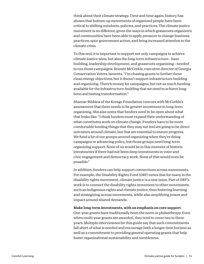think about their climate strategy. Time and time again, history has shown that bottom-up movements of organized people have been critical to shifting mindsets, policies, and practices. The climate justice movement is no different, given the ways in which grassroots organizers and communities have been able to apply pressure to change business practices, spur government action, and bring increased attention to the climate crisis.

To this end, it is important to support not only campaigns to achieve climate justice wins, but also the long-term infrastructure—base building, leadership development, and grassroots organizing—needed to run those campaigns. Brionté McCorkle, executive director of Georgia Conservation Voters, laments, "I'm chasing grants to further these clean energy objectives, but it doesn't support infrastructure building and organizing. There's money for campaigns, but not as much funding available for the infrastructure-building that we need to achieve longterm and lasting transformation."

Shamar Bibbins of the Kresge Foundation concurs with McCorkle's assessment that there needs to be greater investment in long-term organizing. She also notes that funders need to be open about what that looks like: "I think funders must expand their understanding of what constitutes work on climate change. Funders have to be more comfortable funding things that they may not feel are going to be direct outcomes around climate, but that are essential to ensure progress. We fund a lot of our groups around organizing when they're doing campaigns or advancing policy, but those groups need long-term organizing support. None of us would be in this moment of historic investments if there had not been deep investments in voter and civic engagement and democracy work. None of that would even be possible."

In addition, funders can help support connections across movements. For example, the Disability Rights Fund (DRF) notes that for many in the disability rights movement, climate justice is a new issue. Part of DRF's work is to connect the disability rights movement to other movements, such as Indigenous rights and climate justice, thus fostering learning and strategizing across movements, while also amplifying power and impact around shared demands.

## Make long-term investments, with an emphasis on core support.

One-year grants have traditionally been the norm in philanthropy. Even when multi-year grants are awarded, they tend to cover two to three years. Multiple interviewees for this guide say that such commitments fall short of what is needed and encourage both a longer time horizon as well as a commitment to providing general operating grants that help foster organizational sustainability and nimbleness.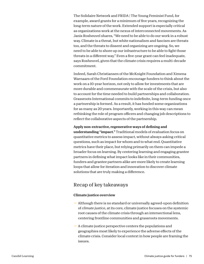The Solidaire Network and FRIDA | The Young Feminist Fund, for example, award grants for a minimum of five years, recognizing the long-term nature of the work. Extended support is especially critical as organizations work at the nexus of interconnected movements. As Janis Rosheuvel shares, "We need to be able to do our work in a robust way. Climate is a threat, but white nationalism and fascism are threats too, and the threats to dissent and organizing are ongoing. So, we need to be able to shore up our infrastructure to be able to fight those threats in a different way." Even a five-year grant can feel inadequate, says Rosheuvel, given that the climate crisis requires a multi-decade commitment.

Indeed, Sarah Christiansen of the McKnight Foundation and Ximena Warnaars of the Ford Foundation encourage funders to think about the work on a 10-year horizon, not only to allow for investments that are more durable and commensurate with the scale of the crisis, but also to account for the time needed to build partnerships and collaboration. Grassroots International commits to indefinite, long-term funding once a partnership is formed. As a result, it has funded some organizations for as many as 20 years. Importantly, working in this way can mean rethinking the role of program officers and changing job descriptions to reflect the collaborative aspects of the partnership.

# Apply non-extractive, regenerative ways of defining and

understanding "impact." Traditional models of evaluation focus on quantitative metrics to assess impact, without always asking critical questions, such as impact for whom and to what end. Quantitative metrics have their place, but relying primarily on them can impede a broader focus on learning. By centering learning and engaging grantee partners in defining what impact looks like in their communities, funders and grantee partners alike are more likely to create learning loops that allow for iteration and innovation to discover climate solutions that are truly making a difference.

# Recap of key takeaways

# Climate justice overview

- Although there is no standard or universally agreed-upon definition of *climate justice*, at its core, climate justice focuses on the systemic root causes of the climate crisis through an intersectional lens, centering frontline communities and grassroots movements.
- A climate justice perspective centers the populations and geographies most likely to experience the adverse effects of the climate crisis. Consider local context in how people are framing the issues.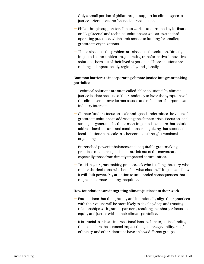- Only a small portion of philanthropic support for climate goes to justice-oriented efforts focused on root causes.
- Philanthropic support for climate work is undermined by its fixation on "Big Greens" and technical solutions as well as its standard operating practices, which limit access to funding for smaller, grassroots organizations.
- Those closest to the problem are closest to the solution. Directly impacted communities are generating transformative, innovative solutions, born out of their lived experience. These solutions are making an impact locally, regionally, and globally.

# Common barriers to incorporating climate justice into grantmaking portfolios

- Technical solutions are often called "false solutions" by climate justice leaders because of their tendency to favor the symptoms of the climate crisis over its root causes and reflection of corporate and industry interests.
- Climate funders' focus on scale and speed undermines the value of grassroots solutions in addressing the climate crisis. Focus on local strategies generated by those most impacted to ensure that solutions address local cultures and conditions, recognizing that successful local solutions can scale in other contexts through translocal organizing.
- Entrenched power imbalances and inequitable grantmaking practices mean that good ideas are left out of the conversation, especially those from directly impacted communities.
- To aid in your grantmaking process, ask who is telling the story, who makes the decisions, who benefits, what else it will impact, and how it will shift power. Pay attention to unintended consequences that might exacerbate existing inequities.

# How foundations are integrating climate justice into their work

- Foundations that thoughtfully and intentionally align their practices with their values will be more likely to develop deep and trusting relationships with grantee partners, resulting in a sharper focus on equity and justice within their climate portfolios.
- It is crucial to take an intersectional lens to climate justice funding that considers the nuanced impact that gender, age, ability, race/ ethnicity, and other identities have on how different groups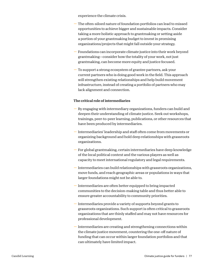experience the climate crisis.

- The often-siloed nature of foundation portfolios can lead to missed opportunities to achieve bigger and sustainable impacts. Consider taking a more holistic approach to grantmaking or setting aside a portion of your grantmaking budget to invest in promising organizations/projects that might fall outside your strategy.
- Foundations can incorporate climate justice into their work beyond grantmaking—consider how the totality of your work, not just grantmaking, can become more equity and justice focused.
- To support a strong ecosystem of grantee partners, ask your current partners who is doing good work in the field. This approach will strengthen existing relationships and help build movement infrastructure, instead of creating a portfolio of partners who may lack alignment and connection.

# The critical role of intermediaries

- By engaging with intermediary organizations, funders can build and deepen their understanding of climate justice. Seek out workshops, trainings, peer-to-peer learning, publications, or other resources that have been produced by intermediaries.
- Intermediaries' leadership and staff often come from movements or organizing background and hold deep relationships with grassroots organizations.
- For global grantmaking, certain intermediaries have deep knowledge of the local political context and the various players as well as capacity to meet international regulatory and legal requirements.
- Intermediaries can build relationships with grassroots organizations, move funds, and reach geographic areas or populations in ways that larger foundations might not be able to.
- Intermediaries are often better equipped to bring impacted communities to the decision-making table and thus better able to ensure greater accountability to community priorities.
- Intermediaries provide a variety of supports beyond grants to grassroots organizations. Such support is often critical to grassroots organizations that are thinly staffed and may not have resources for professional development.
- Intermediaries are creating and strengthening connections within the climate justice movement, countering the one-off nature of funding that can occur within larger foundation portfolios and that can ultimately have limited impact.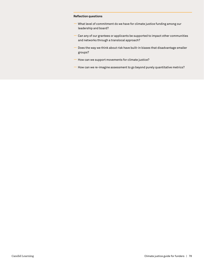#### **Reflection questions**

- What level of commitment do we have for climate justice funding among our leadership and board?
- Can any of our grantees or applicants be supported to impact other communities and networks through a translocal approach?
- Does the way we think about risk have built-in biases that disadvantage smaller groups?
- How can we support movements for climate justice?
- How can we re-imagine assessment to go beyond purely quantitative metrics?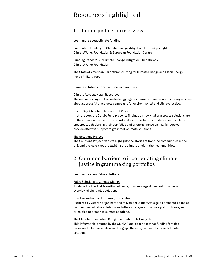# Resources highlighted

# 1 Climate justice: an overview

#### **Learn more about climate funding**

[Foundation Funding for Climate Change Mitigation: Europe Spotlight](https://www.climateworks.org/report/foundation-funding-for-climate-change-mitigation-europe-spotlight/) ClimateWorks Foundation & European Foundation Centre

[Funding Trends 2021: Climate Change Mitigation Philanthropy](https://www.climateworks.org/report/funding-trends-2021-climate-change-mitigation-philanthropy/) ClimateWorks Foundation

[The State of American Philanthropy: Giving for Climate Change and Clean Energy](https://www.insidephilanthropy.com/home/tag/State+of+American+Philanthropy) Inside Philanthropy

#### **Climate solutions from frontline communities**

#### [Climate Advocacy Lab: Resources](https://www.climateadvocacylab.org/resources)

The resources page of this website aggregates a variety of materials, including articles about successful grassroots campaigns for environmental and climate justice.

## [Soil to Sky: Climate Solutions That Work](https://climasolutions.org/resource/soil-to-sky/)

In this report, the CLIMA Fund presents findings on how vital grassroots solutions are to the climate movement. The report makes a case for why funders should include grassroots solutions in their portfolios and offers guidance on how funders can provide effective support to grassroots climate solutions.

## [The Solutions Project](https://thesolutionsproject.org/what-we-do/our-impact/)

The Solutions Project website highlights the stories of frontline communities in the U.S. and the ways they are tackling the climate crisis in their communities.

# 2 Common barriers to incorporating climate justice in grantmaking portfolios

## **Learn more about false solutions**

#### [False Solutions to Climate Change](http://jtalliance.org/wp-content/uploads/2020/02/False-Solutions.pdf)

Produced by the Just Transition Alliance, this one-page document provides an overview of eight false solutions.

## [Hoodwinked in the Hothouse \(third edition\)](https://climatefalsesolutions.org/)

Authored by veteran organizers and movement leaders, this guide presents a concise compendium of false solutions and offers strategies for a more just, inclusive, and principled approach to climate solutions.

#### [The Climate Crisis: When Doing Good Is Actually Doing Harm](https://climasolutions.org/wp-content/uploads/2020/03/CLIMA_False-Promises.pdf)

This infographic, created by the CLIMA Fund, describes what funding for false promises looks like, while also lifting up alternate, community-based climate solutions.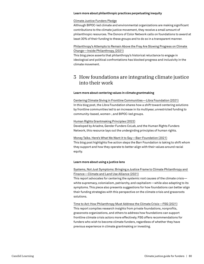#### **Learn more about philanthropic practices perpetuating inequity**

#### [Climate Justice Funders Pledge](https://climate.donorsofcolor.org/about-the-campaign/)

Although BIPOC-led climate and environmental organizations are making significant contributions to the climate justice movement, they receive a small amount of philanthropic resources. The Donors of Color Network calls on foundations to award at least 30% of their funding to these groups and to do so in a transparent manner.

# [Philanthropy's Attempts to Remain Above the Fray Are Slowing Progress on Climate](https://www.insidephilanthropy.com/home/2021/11/4/philanthropys-attempts-to-remain-above-the-fray-are-slowing-progress-on-climate-change)  [Change—Inside Philanthropy, \(2021\)](https://www.insidephilanthropy.com/home/2021/11/4/philanthropys-attempts-to-remain-above-the-fray-are-slowing-progress-on-climate-change)

This blog piece asserts that philanthropy's historical reluctance to engage in ideological and political confrontations has blocked progress and inclusivity in the climate movement.

# 3 How foundations are integrating climate justice into their work

#### **Learn more about centering values in climate grantmaking**

[Centering Climate Giving in Frontline Communities—Libra Foundation \(2021\)](https://www.thelibrafoundation.org/2021/04/centering-climate-giving-in-frontline-communities/) In this blog post, the Libra Foundation shares how a shift toward centering solutions by frontline communities led to an increase in its multiyear, unrestricted funding to community-based, women-, and BIPOC-led groups.

#### [Human Rights Grantmaking Principles \(2022\)](https://sites.google.com/hrfn.org/grantmaking-principles)

Developed by Ariadne, Gender Funders CoLab, and the Human Rights Funders Network, this resource lays out the undergirding principles of human rights.

# [Money Talks. Here's What We Want it to Say—Barr Foundation \(2021\)](https://www.barrfoundation.org/blog/money-talks-here-s-what-we-want-it-to-say)

This blog post highlights five action steps the Barr Foundation is taking to shift whom they support and how they operate to better align with their values around racial equity.

#### **Learn more about using a justice lens**

# [Systems, Not Just Symptoms: Bringing a Justice Frame to Climate Philanthropy and](https://www.climateandforests2030.org/app/uploads/2021/10/JUSTICE_Bringing-a-Justice-Frame-to-Climate-Philanthropy-and-Finance_MeaseLemma.pdf)  [Finance—Climate and Land Use Alliance \(2021\)](https://www.climateandforests2030.org/app/uploads/2021/10/JUSTICE_Bringing-a-Justice-Frame-to-Climate-Philanthropy-and-Finance_MeaseLemma.pdf)

This report advocates for centering the systemic root causes of the climate crisis white supremacy, colonialism, patriarchy, and capitalism—while also adapting to its symptoms. This piece also presents suggestions for how foundations can better align their funding strategies with this perspective on the climate crisis and grassroots solutions.

# [Time to Act: How Philanthropy Must Address the Climate Crisis—FSG \(2021\)](https://www.fsg.org/resource/time-to-act-how-philanthropy-must-address-the-climate-crisis/) This report compiles research insights from private foundations, nonprofits,

grassroots organizations, and others to address how foundations can support frontline climate crisis actors more effectively. FSG offers recommendations for funders who wish to become climate funders, regardless of whether they have previous experience in climate grantmaking or investing.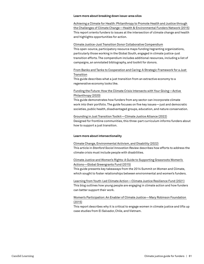#### **Learn more about breaking down issue-area silos**

[Achieving a Climate for Health: Philanthropy to Promote Health and Justice through](https://www.hefn.org/sites/default/files/uploaded_files/report_health_and_climate_philanthropy_hefn_ecoamerica_web.pdf)  [the Challenges of Climate Change—Health & Environmental Funders Network \(2015\)](https://www.hefn.org/sites/default/files/uploaded_files/report_health_and_climate_philanthropy_hefn_ecoamerica_web.pdf) This report orients funders to issues at the intersection of climate change and health and highlights opportunities for action.

#### [Climate Justice-Just Transition Donor Collaborative Compendium](https://docs.google.com/spreadsheets/d/1cPm0GJUs4Vp0lw7AUVbjMOZi2ICQpvbXw3msXa4_uqg/edit#gid=161766188)

This open-source, participatory resource maps funding/regranting organizations, particularly those working in the Global South, engaged in climate justice-just transition efforts. The compendium includes additional resources, including a list of campaigns, an annotated bibliography, and toolkit for donors.

# [From Banks and Tanks to Cooperation and Caring: A Strategic Framework for a Just](https://movementgeneration.org/wp-content/uploads/2016/11/JT_booklet_English_SPREADs_web.pdf)  [Transition](https://movementgeneration.org/wp-content/uploads/2016/11/JT_booklet_English_SPREADs_web.pdf)

This guide describes what a just transition from an extractive economy to a regenerative economy looks like.

# [Funding the Future: How the Climate Crisis Intersects with Your Giving—Active](https://www.activephilanthropy.org/climate-philanthropy-guide)  [Philanthropy \(2020\)](https://www.activephilanthropy.org/climate-philanthropy-guide)

This guide demonstrates how funders from any sector can incorporate climate work into their portfolio. The guide focuses on five key issues—just and democratic societies, public health, disadvantaged groups, education, and nature conservation.

## [Grounding in Just Transition Toolkit—Climate Justice Alliance \(2022\)](https://climatejusticealliance.org/just-transition-toolkit/)

Designed for frontline communities, this three-part curriculum informs funders about how to support a just transition.

#### **Learn more about intersectionality**

#### [Climate Change, Environmental Activism, and Disability \(2022\)](https://ssir.org/articles/entry/climate_change_environmental_activism_and_disability)

This article in *Stanford Social Innovation Review* describes how efforts to address the climate crisis must include people with disabilities.

## [Climate Justice and Women's Rights: A Guide to Supporting Grassroots Women's](https://www.greengrants.org/wp-content/uploads/2017/09/Climate-Justice-and-Womens-Rights-Guide1.pdf)  [Actions—Global Greengrants Fund \(2015\)](https://www.greengrants.org/wp-content/uploads/2017/09/Climate-Justice-and-Womens-Rights-Guide1.pdf)

This guide presents key takeaways from the 2014 Summit on Women and Climate, which sought to foster relationships between environmental and women's funders.

[Learning from Youth-Led Climate Action—Climate Justice Resilience Fund \(2021\)](https://www.cjrfund.org/news/2021/7/13/learning-youth-led-climate-action) This blog outlines how young people are engaging in climate action and how funders can better support their work.

## [Women's Participation: An Enabler of Climate Justice—Mary Robinson Foundation](https://www.mrfcj.org/resources/womens-participation-an-enabler-of-climate-justice/)  [\(2015\)](https://www.mrfcj.org/resources/womens-participation-an-enabler-of-climate-justice/)

This report describes why it is critical to engage women in climate justice and lifts up case studies from El Salvador, Chile, and Vietnam.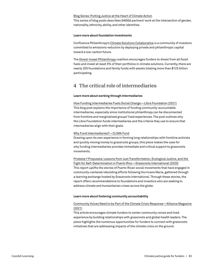#### [Blog Series: Putting Justice at the Heart of Climate Action](https://gaggaalliance.org/blog-series-putting-justice-at-the-heart-of-climate-action/)

This series of blog posts describes GAGGA partners' work at the intersection of gender, nationality, ethnicity, ability, and other identities.

#### **Learn more about foundation investments**

Confluence Philanthropy's [Climate Solutions Collaborative](https://www.confluencephilanthropy.org/The-Climate-Solutions-Collaborative) is a community of investors committed to emissions reduction by deploying private and philanthropic capital toward a low-carbon future.

The [Divest-Invest Philanthropy](https://www.divestinvest.org/) coalition encourages funders to divest from all fossil fuels and invest at least 5% of their portfolios in climate solutions. Currently, there are nearly 200 foundations and family funds with assets totaling more than \$125 billion participating.

# 4 The critical role of intermediaries

#### **Learn more about working through intermediaries**

[How Funding Intermediaries Fuels Social Change—Libra Foundation \(2021\)](https://www.thelibrafoundation.org/2021/11/how-funding-intermediaries-fuels-social-change/) This blog post explains the importance of funding community-accountable intermediaries, especially since institutional philanthropy can be disconnected from frontline and marginalized groups' lived experiences. The post outlines why the Libra Foundation funds intermediaries and the criteria they use to ensure that intermediaries align with their goals.

#### [Why Fund Intermediaries?—CLIMA Fund](https://climasolutions.org/news/why-fund-intermediaries/)

Drawing upon its own experience in forming long relationships with frontline activists and quickly moving money to grassroots groups, this piece makes the case for why funding intermediaries provides immediate and critical support to grassroots movements.

[Protesta Y Propuesta: Lessons from Just Transformation, Ecological Justice, and the](https://grassrootsonline.org/what-we-do/publications-and-resources/educational-resources/protesta-y-propuesta-lessons-from-puerto-rico/)  [Fight for Self-Determination in Puerto Rico—Grassroots International \(2020\)](https://grassrootsonline.org/what-we-do/publications-and-resources/educational-resources/protesta-y-propuesta-lessons-from-puerto-rico/) This report uplifts the stories of Puerto Rican social movements that have engaged in community-centered rebuilding efforts following Hurricane Maria, gathered through a learning exchange hosted by Grassroots International. Through these stories, the report offers recommendations to foundations and investors who are seeking to address climate and humanitarian crises across the globe.

#### **Learn more about fostering community accountability**

#### [Community Voices Need to be Part of the Climate Crisis Response—Alliance Magazine](https://www.alliancemagazine.org/blog/center-community-voices-in-philanthropys-response-to-the-climate-crisis/)  [\(2021\)](https://www.alliancemagazine.org/blog/center-community-voices-in-philanthropys-response-to-the-climate-crisis/)

This article encourages climate funders to center community voices and lived experience by building relationships with grassroots and global health leaders. The piece highlights the numerous opportunities for funders to connect with grassroots initiatives that are addressing impacts of the climate crisis on the ground.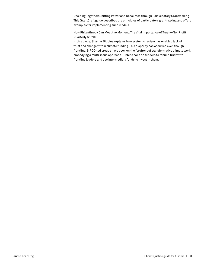[Deciding Together: Shifting Power and Resources through Participatory Grantmaking](https://learningforfunders.candid.org/wp-content/uploads/sites/2/2018/12/DecidingTogether_Final_20181002.pdf) This GrantCraft guide describes the principles of participatory grantmaking and offers examples for implementing such models.

# [How Philanthropy Can Meet the Moment: The Vital Importance of Trust—NonProfit](https://nonprofitquarterly.org/how-philanthropy-can-meet-the-moment-the-vital-importance-of-trust/)  [Quarterly \(2020\)](https://nonprofitquarterly.org/how-philanthropy-can-meet-the-moment-the-vital-importance-of-trust/)

In this piece, Shamar Bibbins explains how systemic racism has enabled lack of trust and change within climate funding. This disparity has occurred even though frontline, BIPOC-led groups have been on the forefront of transformative climate work, embodying a multi-issue approach. Bibbins calls on funders to rebuild trust with frontline leaders and use intermediary funds to invest in them.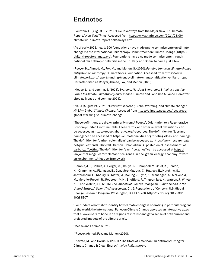# Endnotes

1 Fountain, H. (August 9, 2021). "Five Takeaways from the Major New U.N. Climate Report." *New York Times*. Accessed from [https://www.nytimes.com/2021/08/09/](https://www.nytimes.com/2021/08/09/climate/un-climate-report-takeaways.html) [climate/un-climate-report-takeaways.html](https://www.nytimes.com/2021/08/09/climate/un-climate-report-takeaways.html).

2 As of early 2022, nearly 500 foundations have made public commitments on climate change via the International Philanthropy Commitment on Climate Change ( [https://](https://philanthropyforclimate.org) [philanthropyforclimate.org\)](https://philanthropyforclimate.org). Foundations have also made commitments through national philanthropic networks in the UK, Italy, and Spain, to name just a few.

3 Roeyer, H., Ahmed, M., Fox, M., and Menon, S. (2020). *Funding trends in climate change mitigation philanthropy*. ClimateWorks Foundation. Accessed from [https://www.](https://www.climateworks.org/report/funding-trends-climate-changemitigation-philanthropy) [climateworks.org/report/funding-trends-climate-change-mitigation-philanthropy.](https://www.climateworks.org/report/funding-trends-climate-changemitigation-philanthropy) Hereafter cited as Roeyer, Ahmed, Fox, and Menon (2020).

4 Mease, L., and Lemma, S. (2021). *Systems, Not Just Symptoms: Bringing a Justice Frame to Climate Philanthropy and Finance.* Climate and Land Use Alliance. Hereafter cited as Mease and Lemma (2021).

5 NASA (August 24, 2021). "Overview: Weather, Global Warming, and climate change." *NASA—Global Climate Change*. Accessed from [https://climate.nasa.gov/resources/](https://climate.nasa.gov/resources/global-warming-vs-climate-change) [global-warming-vs-climate-change](https://climate.nasa.gov/resources/global-warming-vs-climate-change)

<sup>6</sup>These definitions are drawn primarily from A People's Orientation to a Regenerative Economy/United Frontline Table. These terms, and other relevant definitions, can be accessed at [https://reocollaborative.org/resources.](https://reocollaborative.org/resources) The definition for "loss and damage" can be accessed at<https://climateanalytics.org/briefings/loss-and-damage>. The definition for "carbon colonialism" can be accessed at [https://www.researchgate.](https://www.researchgate.net/publication/337622634_Carbon_Colonialism_A_postcolonial_assessment_of_carbon_offsetting) [net/publication/337622634\\_Carbon\\_Colonialism\\_A\\_postcolonial\\_assessment\\_of\\_](https://www.researchgate.net/publication/337622634_Carbon_Colonialism_A_postcolonial_assessment_of_carbon_offsetting) [carbon\\_offsetting](https://www.researchgate.net/publication/337622634_Carbon_Colonialism_A_postcolonial_assessment_of_carbon_offsetting). The definition for "sacrifice zones" can be accessed at [https://](https://lawjournal.mcgill.ca/article/sacrifice-zones-in-the-green-energy-economy-toward-an-environmental-justice-framework) [lawjournal.mcgill.ca/article/sacrifice-zones-in-the-green-energy-economy-toward](https://lawjournal.mcgill.ca/article/sacrifice-zones-in-the-green-energy-economy-toward-an-environmental-justice-framework)[an-environmental-justice-framework](https://lawjournal.mcgill.ca/article/sacrifice-zones-in-the-green-energy-economy-toward-an-environmental-justice-framework)

7 Gamble, J.L., Balbus, J., Berger, M., Bouye, K., Campbell, V., Chief, K., Conlon, K., Crimmins, A., Flanagan, B., Gonzalez-Maddux, C., Hallisey, E., Hutchins, S., Jantarasami, L., Khoury, S., Kiefer, M., Kolling, J., Lynn, K., Manangan, A., McDonald, M., Morello-Frosch, R., Redsteer, M.H., Sheffield, P., Thigpen Tart, K., Watson, J., Whyte, K.P., and Wolkin, A.F. (2016). *The Impacts of Climate Change on Human Health in the United States: A Scientific Assessment*. Ch. 9: Populations of Concern. U.S. Global Change Research Program, Washington, DC, 247–286. [http://dx.doi.org/10.7930/](http://dx.doi.org/10.7930/J0Q81B0T) [J0Q81B0T](http://dx.doi.org/10.7930/J0Q81B0T)

8 For funders who wish to identify how climate change is operating in particular regions of the world, the International Panel on Climate Change operates an [interactive atlas](https://interactive-atlas.ipcc.ch/) that allows users to hone in on regions of interest and get a sense of both current and projected impacts of the climate crisis.

9Mease and Lemma (2021).

10Roeyer, Ahmed, Fox, and Menon (2020).

11Kavate, M., and Harris, K. (2021). "The State of American Philanthropy: Giving for Climate Change & Clean Energy." *Inside Philanthropy*.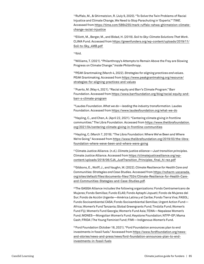12Ruffalo, M., & Ghirmatzion, R. (July 9, 2020). "To Solve the Twin Problems of Racial Injustice and Climate Change, We Need to Stop Parachuting in 'Experts.'" *TIME*. Accessed from [https://time.com/5864255/mark-ruffalo-rahwa-ghirmatzion-climate](https://time.com/5864255/mark-ruffalo-rahwa-ghirmatzion-climate-change-racial-injustice)[change-racial-injustice](https://time.com/5864255/mark-ruffalo-rahwa-ghirmatzion-climate-change-racial-injustice) 

13Elliott, M., Berger, M., and Bidad, H. (2019). *Soil to Sky: Climate Solutions That Work*. CLIMA Fund. Accessed from [https://greenfunders.org/wp-content/uploads/2019/11/](https://greenfunders.org/wp-content/uploads/2019/11/Soil-to-Sky_4MB.pdf ) [Soil-to-Sky\\_4MB.pdf](https://greenfunders.org/wp-content/uploads/2019/11/Soil-to-Sky_4MB.pdf ) 

 $14$ Ibid.

15Williams, T. (2021). "Philanthropy's Attempts to Remain Above the Fray are Slowing Progress on Climate Change." *Inside Philanthropy*.

16PEAK Grantmaking (March 4, 2022). *Strategies for aligning practices and values*. PEAK Grantmaking. Accessed from [https://www.peakgrantmaking.org/resource/](https://www.peakgrantmaking.org/resource/strategies-for-aligning-practices-and-values) [strategies-for-aligning-practices-and-values](https://www.peakgrantmaking.org/resource/strategies-for-aligning-practices-and-values) 

17Puerto, M. (May 4, 2021). "Racial equity and Barr's Climate Program." Barr Foundation. Accessed from [https://www.barrfoundation.org/blog/racial-equity-and](https://www.barrfoundation.org/blog/racial-equity-and-barr-s-climate-program)[barr-s-climate-program](https://www.barrfoundation.org/blog/racial-equity-and-barr-s-climate-program)

18Laudes Foundation. *What we do—leading the industry transformation*. Laudes Foundation. Accessed from<https://www.laudesfoundation.org/what-we-do>

19Hayling, C., and Chen, A. (April 22, 2021). "Centering climate giving in frontline communities." The Libra Foundation. Accessed from [https://www.thelibrafoundation.](https://www.thelibrafoundation.org/2021/04/centering-climate-giving-in-frontline-communities) [org/2021/04/centering-climate-giving-in-frontline-communities](https://www.thelibrafoundation.org/2021/04/centering-climate-giving-in-frontline-communities)

 $20$ Hayling, C. (March 7, 2019). "The Libra Foundation: Where We've Been and Where We're Going." Accessed from [https://www.thelibrafoundation.org/2019/03/the-libra](https://www.thelibrafoundation.org/2019/03/the-libra-foundation-where-weve-been-and-where-were-going)[foundation-where-weve-been-and-where-were-going](https://www.thelibrafoundation.org/2019/03/the-libra-foundation-where-weve-been-and-where-were-going)

21Climate Justice Alliance. (n.d.). *Climate justice alliance—Just transition principles*. Climate Justice Alliance. Accessed from [https://climatejusticealliance.org/wp](https://climatejusticealliance.org/wp-content/uploads/2018/06/CJA_JustTransition_Principles_final_hi-rez.pdf)[content/uploads/2018/06/CJA\\_JustTransition\\_Principles\\_final\\_hi-rez.pdf](https://climatejusticealliance.org/wp-content/uploads/2018/06/CJA_JustTransition_Principles_final_hi-rez.pdf)

22Gibbons, E., Wolff, J., and Vaughn, W. (2022). *Climate Resilience for Health Care and Communities: Strategies and Case Studies*. Accessed from [https://noharm-uscanada.](https://noharm-uscanada.org/sites/default/files/documents-files/7024/Climate-Resilience-for-Health-Care-and-Communities-Stategies-and-Case-Studies.pdf) [org/sites/default/files/documents-files/7024/Climate-Resilience-for-Health-Care](https://noharm-uscanada.org/sites/default/files/documents-files/7024/Climate-Resilience-for-Health-Care-and-Communities-Stategies-and-Case-Studies.pdf)[and-Communities-Stategies-and-Case-Studies.pdf](https://noharm-uscanada.org/sites/default/files/documents-files/7024/Climate-Resilience-for-Health-Care-and-Communities-Stategies-and-Case-Studies.pdf).

<sup>23</sup>The GAGGA Alliance includes the following organizations: Fondo Centramericano de Mujeres; Fondo Semillas; Fundo ELAS; Fondo Aptaphi Jopueti; Fondo de Mujeres del Sur; Fondo de Acción Urgente—América Latina y el Caribe; Fondo Tierra Viva; FASOL; Fundo Socioambiental CASA; Fondo Socioambiental Semillas; Urgent Action Fund— Africa; Women's Fund Tanzania; Global Greengrants Fund; Tindzila Fund; Women's Fund Fiji; Women's Fund Georgia; Women's Fund Asia; TEWA—Nepalese Women's Fund; MONES—Mongolian Women's Fund; Keystone Foundation; NTFP-EP; Mama Cash; FRIDA | The Young Feminist Fund; FIMI—Indigenous Women's Fund.

<sup>24</sup>Ford Foundation (October 18, 2021). "Ford Foundation announces plan to end investments in fossil fuels." Accessed from [https://www.fordfoundation.org/news](https://www.fordfoundation.org/news-and-stories/news-and-press/news/ford-foundation-announces-plan-to-end-investments-in-fossil-fuels)[and-stories/news-and-press/news/ford-foundation-announces-plan-to-end](https://www.fordfoundation.org/news-and-stories/news-and-press/news/ford-foundation-announces-plan-to-end-investments-in-fossil-fuels)[investments-in-fossil-fuels](https://www.fordfoundation.org/news-and-stories/news-and-press/news/ford-foundation-announces-plan-to-end-investments-in-fossil-fuels)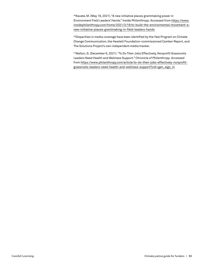<sup>25</sup>Kavate, M. (May 18, 2021). "A new initiative places grantmaking power in Environment Field Leaders' Hands." *Inside Philanthropy*. Accessed from [https://www.](https://www.insidephilanthropy.com/home/2021/3/19/to-build-the-environmental-movement-a-new-initiative-places-grantmaking-in-field-leaders-hands) [insidephilanthropy.com/home/2021/3/19/to-build-the-environmental-movement-a](https://www.insidephilanthropy.com/home/2021/3/19/to-build-the-environmental-movement-a-new-initiative-places-grantmaking-in-field-leaders-hands)[new-initiative-places-grantmaking-in-field-leaders-hands](https://www.insidephilanthropy.com/home/2021/3/19/to-build-the-environmental-movement-a-new-initiative-places-grantmaking-in-field-leaders-hands)

<sup>26</sup>Disparities in media coverage have been identified by the Yale Program on Climate Change Communication, the Hewlett Foundation-commissioned Camber Report, and The Solutions Project's own independent media tracker.

27Walton, G. (December 6, 2021). "To Do Their Jobs Effectively, Nonprofit Grassroots Leaders Need Health and Wellness Support." *Chronicle of Philanthropy*. Accessed from [https://www.philanthropy.com/article/to-do-their-jobs-effectively-nonprofit](https://www.philanthropy.com/article/to-do-their-jobs-effectively-nonprofit-grassroots-leaders-need-health-and-wellness-support?cid=gen_sign_in)[grassroots-leaders-need-health-and-wellness-support?cid=gen\\_sign\\_in](https://www.philanthropy.com/article/to-do-their-jobs-effectively-nonprofit-grassroots-leaders-need-health-and-wellness-support?cid=gen_sign_in)